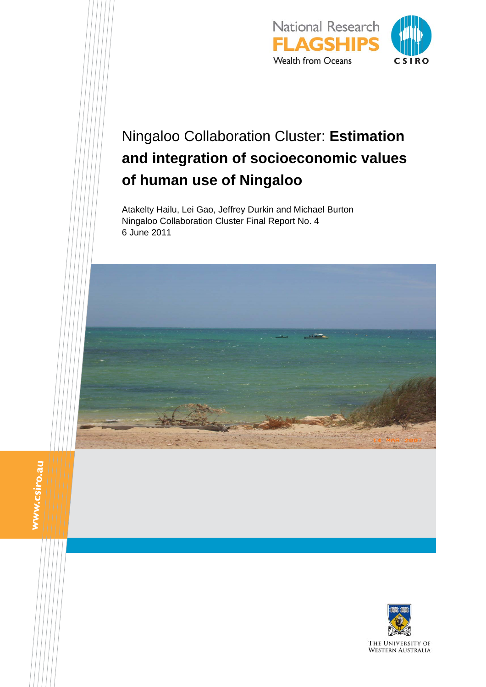

# Ningaloo Collaboration Cluster: **Estimation and integration of socioeconomic values of human use of Ningaloo**

Atakelty Hailu, Lei Gao, Jeffrey Durkin and Michael Burton Ningaloo Collaboration Cluster Final Report No. 4 6 June 2011



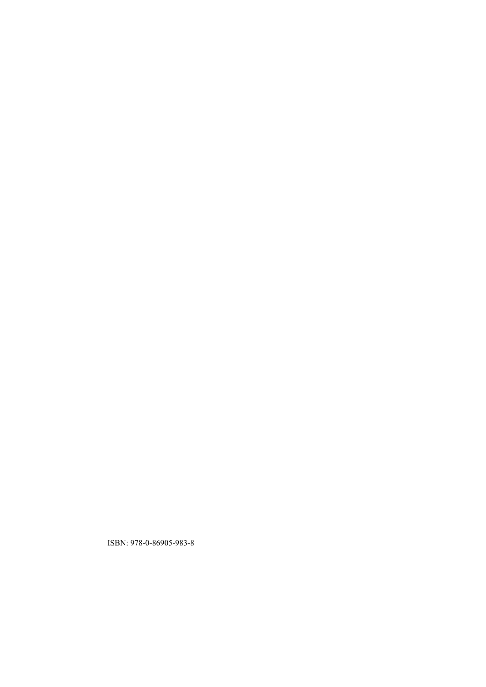ISBN: 978-0-86905-983-8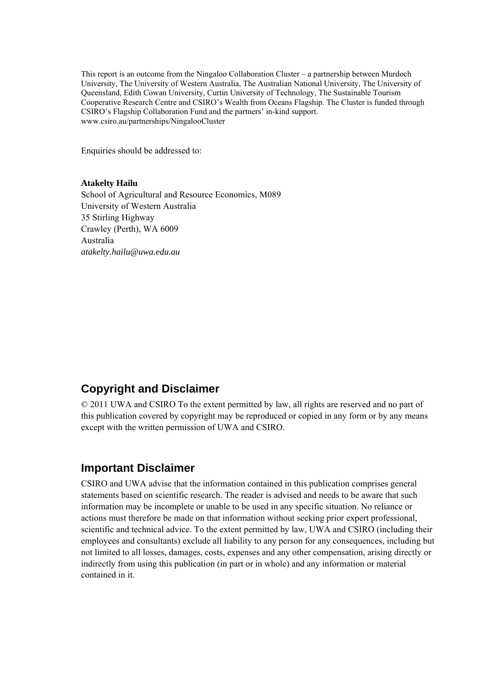This report is an outcome from the Ningaloo Collaboration Cluster – a partnership between Murdoch University, The University of Western Australia, The Australian National University, The University of Queensland, Edith Cowan University, Curtin University of Technology, The Sustainable Tourism Cooperative Research Centre and CSIRO's Wealth from Oceans Flagship. The Cluster is funded through CSIRO's Flagship Collaboration Fund and the partners' in-kind support. www.csiro.au/partnerships/NingalooCluster

Enquiries should be addressed to:

#### **Atakelty Hailu**

School of Agricultural and Resource Economics, M089 University of Western Australia 35 Stirling Highway Crawley (Perth), WA 6009 Australia *atakelty.hailu@uwa.edu.au* 

### **Copyright and Disclaimer**

© 2011 UWA and CSIRO To the extent permitted by law, all rights are reserved and no part of this publication covered by copyright may be reproduced or copied in any form or by any means except with the written permission of UWA and CSIRO.

#### **Important Disclaimer**

CSIRO and UWA advise that the information contained in this publication comprises general statements based on scientific research. The reader is advised and needs to be aware that such information may be incomplete or unable to be used in any specific situation. No reliance or actions must therefore be made on that information without seeking prior expert professional, scientific and technical advice. To the extent permitted by law, UWA and CSIRO (including their employees and consultants) exclude all liability to any person for any consequences, including but not limited to all losses, damages, costs, expenses and any other compensation, arising directly or indirectly from using this publication (in part or in whole) and any information or material contained in it.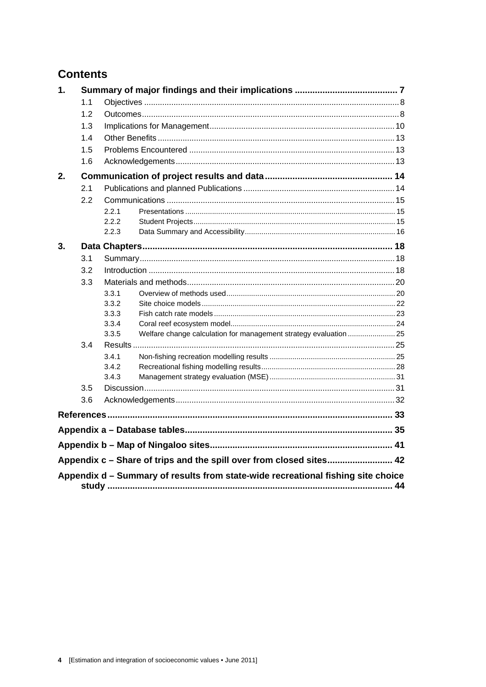# **Contents**

| 1. |     |       |                                                                                  |  |
|----|-----|-------|----------------------------------------------------------------------------------|--|
|    | 1.1 |       |                                                                                  |  |
|    | 1.2 |       |                                                                                  |  |
|    | 1.3 |       |                                                                                  |  |
|    | 1.4 |       |                                                                                  |  |
|    | 1.5 |       |                                                                                  |  |
|    | 1.6 |       |                                                                                  |  |
| 2. |     |       |                                                                                  |  |
|    | 2.1 |       |                                                                                  |  |
|    | 2.2 |       |                                                                                  |  |
|    |     | 2.2.1 |                                                                                  |  |
|    |     | 2.2.2 |                                                                                  |  |
|    |     | 2.2.3 |                                                                                  |  |
| 3. |     |       |                                                                                  |  |
|    | 3.1 |       |                                                                                  |  |
|    | 3.2 |       |                                                                                  |  |
|    | 3.3 |       |                                                                                  |  |
|    |     | 3.3.1 |                                                                                  |  |
|    |     | 3.3.2 |                                                                                  |  |
|    |     | 3.3.3 |                                                                                  |  |
|    |     | 3.3.4 |                                                                                  |  |
|    |     | 3.3.5 | Welfare change calculation for management strategy evaluation  25                |  |
|    | 3.4 |       |                                                                                  |  |
|    |     | 3.4.1 |                                                                                  |  |
|    |     | 3.4.2 |                                                                                  |  |
|    |     | 3.4.3 |                                                                                  |  |
|    | 3.5 |       |                                                                                  |  |
|    | 3.6 |       |                                                                                  |  |
|    |     |       |                                                                                  |  |
|    |     |       |                                                                                  |  |
|    |     |       |                                                                                  |  |
|    |     |       | Appendix c - Share of trips and the spill over from closed sites 42              |  |
|    |     |       | Appendix d - Summary of results from state-wide recreational fishing site choice |  |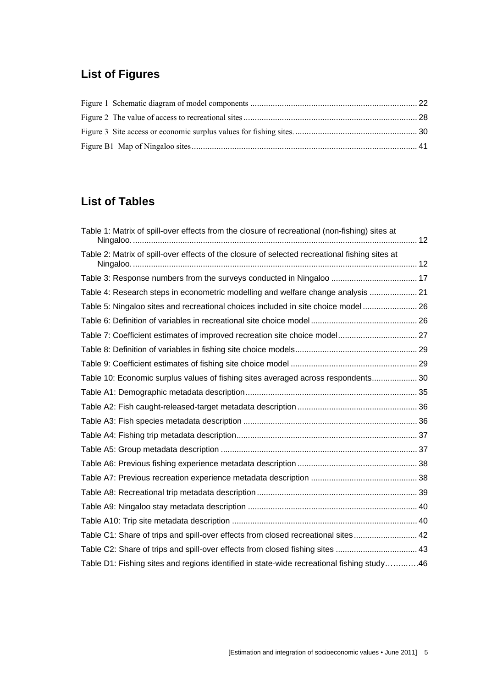# **List of Figures**

# **List of Tables**

| Table 1: Matrix of spill-over effects from the closure of recreational (non-fishing) sites at  |  |
|------------------------------------------------------------------------------------------------|--|
| Table 2: Matrix of spill-over effects of the closure of selected recreational fishing sites at |  |
|                                                                                                |  |
| Table 4: Research steps in econometric modelling and welfare change analysis  21               |  |
| Table 5: Ningaloo sites and recreational choices included in site choice model 26              |  |
|                                                                                                |  |
| Table 7: Coefficient estimates of improved recreation site choice model 27                     |  |
|                                                                                                |  |
|                                                                                                |  |
| Table 10: Economic surplus values of fishing sites averaged across respondents 30              |  |
|                                                                                                |  |
|                                                                                                |  |
|                                                                                                |  |
|                                                                                                |  |
|                                                                                                |  |
|                                                                                                |  |
|                                                                                                |  |
|                                                                                                |  |
|                                                                                                |  |
|                                                                                                |  |
| Table C1: Share of trips and spill-over effects from closed recreational sites 42              |  |
| Table C2: Share of trips and spill-over effects from closed fishing sites  43                  |  |
| Table D1: Fishing sites and regions identified in state-wide recreational fishing study46      |  |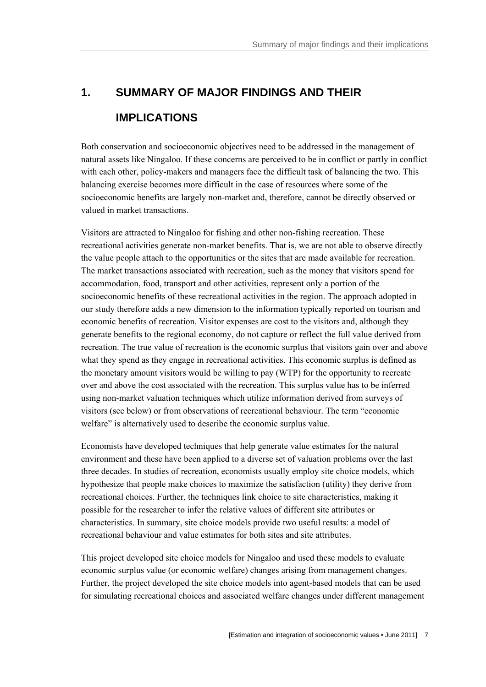# **1. SUMMARY OF MAJOR FINDINGS AND THEIR IMPLICATIONS**

Both conservation and socioeconomic objectives need to be addressed in the management of natural assets like Ningaloo. If these concerns are perceived to be in conflict or partly in conflict with each other, policy-makers and managers face the difficult task of balancing the two. This balancing exercise becomes more difficult in the case of resources where some of the socioeconomic benefits are largely non-market and, therefore, cannot be directly observed or valued in market transactions.

Visitors are attracted to Ningaloo for fishing and other non-fishing recreation. These recreational activities generate non-market benefits. That is, we are not able to observe directly the value people attach to the opportunities or the sites that are made available for recreation. The market transactions associated with recreation, such as the money that visitors spend for accommodation, food, transport and other activities, represent only a portion of the socioeconomic benefits of these recreational activities in the region. The approach adopted in our study therefore adds a new dimension to the information typically reported on tourism and economic benefits of recreation. Visitor expenses are cost to the visitors and, although they generate benefits to the regional economy, do not capture or reflect the full value derived from recreation. The true value of recreation is the economic surplus that visitors gain over and above what they spend as they engage in recreational activities. This economic surplus is defined as the monetary amount visitors would be willing to pay (WTP) for the opportunity to recreate over and above the cost associated with the recreation. This surplus value has to be inferred using non-market valuation techniques which utilize information derived from surveys of visitors (see below) or from observations of recreational behaviour. The term "economic welfare" is alternatively used to describe the economic surplus value.

Economists have developed techniques that help generate value estimates for the natural environment and these have been applied to a diverse set of valuation problems over the last three decades. In studies of recreation, economists usually employ site choice models, which hypothesize that people make choices to maximize the satisfaction (utility) they derive from recreational choices. Further, the techniques link choice to site characteristics, making it possible for the researcher to infer the relative values of different site attributes or characteristics. In summary, site choice models provide two useful results: a model of recreational behaviour and value estimates for both sites and site attributes.

This project developed site choice models for Ningaloo and used these models to evaluate economic surplus value (or economic welfare) changes arising from management changes. Further, the project developed the site choice models into agent-based models that can be used for simulating recreational choices and associated welfare changes under different management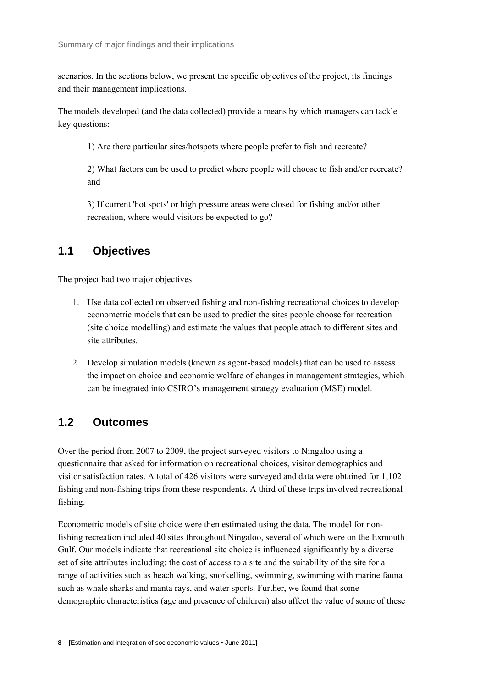scenarios. In the sections below, we present the specific objectives of the project, its findings and their management implications.

The models developed (and the data collected) provide a means by which managers can tackle key questions:

1) Are there particular sites/hotspots where people prefer to fish and recreate?

2) What factors can be used to predict where people will choose to fish and/or recreate? and

3) If current 'hot spots' or high pressure areas were closed for fishing and/or other recreation, where would visitors be expected to go?

### **1.1 Objectives**

The project had two major objectives.

- 1. Use data collected on observed fishing and non-fishing recreational choices to develop econometric models that can be used to predict the sites people choose for recreation (site choice modelling) and estimate the values that people attach to different sites and site attributes.
- 2. Develop simulation models (known as agent-based models) that can be used to assess the impact on choice and economic welfare of changes in management strategies, which can be integrated into CSIRO's management strategy evaluation (MSE) model.

### **1.2 Outcomes**

Over the period from 2007 to 2009, the project surveyed visitors to Ningaloo using a questionnaire that asked for information on recreational choices, visitor demographics and visitor satisfaction rates. A total of 426 visitors were surveyed and data were obtained for 1,102 fishing and non-fishing trips from these respondents. A third of these trips involved recreational fishing.

Econometric models of site choice were then estimated using the data. The model for nonfishing recreation included 40 sites throughout Ningaloo, several of which were on the Exmouth Gulf. Our models indicate that recreational site choice is influenced significantly by a diverse set of site attributes including: the cost of access to a site and the suitability of the site for a range of activities such as beach walking, snorkelling, swimming, swimming with marine fauna such as whale sharks and manta rays, and water sports. Further, we found that some demographic characteristics (age and presence of children) also affect the value of some of these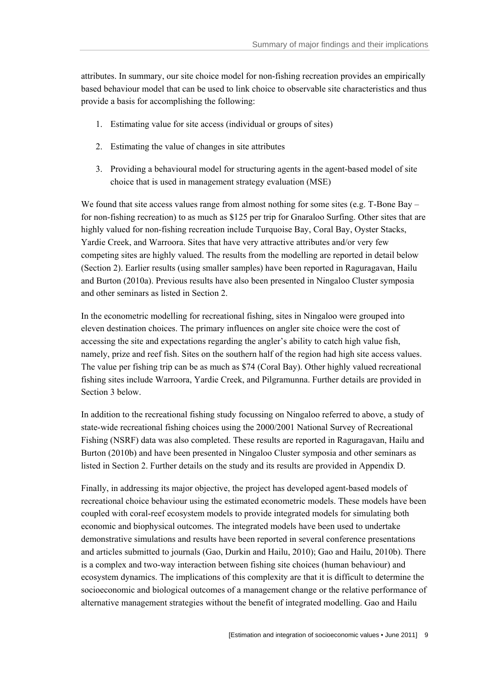attributes. In summary, our site choice model for non-fishing recreation provides an empirically based behaviour model that can be used to link choice to observable site characteristics and thus provide a basis for accomplishing the following:

- 1. Estimating value for site access (individual or groups of sites)
- 2. Estimating the value of changes in site attributes
- 3. Providing a behavioural model for structuring agents in the agent-based model of site choice that is used in management strategy evaluation (MSE)

We found that site access values range from almost nothing for some sites (e.g.  $T$ -Bone Bay – for non-fishing recreation) to as much as \$125 per trip for Gnaraloo Surfing. Other sites that are highly valued for non-fishing recreation include Turquoise Bay, Coral Bay, Oyster Stacks, Yardie Creek, and Warroora. Sites that have very attractive attributes and/or very few competing sites are highly valued. The results from the modelling are reported in detail below (Section 2). Earlier results (using smaller samples) have been reported in Raguragavan, Hailu and Burton (2010a). Previous results have also been presented in Ningaloo Cluster symposia and other seminars as listed in Section 2.

In the econometric modelling for recreational fishing, sites in Ningaloo were grouped into eleven destination choices. The primary influences on angler site choice were the cost of accessing the site and expectations regarding the angler's ability to catch high value fish, namely, prize and reef fish. Sites on the southern half of the region had high site access values. The value per fishing trip can be as much as \$74 (Coral Bay). Other highly valued recreational fishing sites include Warroora, Yardie Creek, and Pilgramunna. Further details are provided in Section 3 below.

In addition to the recreational fishing study focussing on Ningaloo referred to above, a study of state-wide recreational fishing choices using the 2000/2001 National Survey of Recreational Fishing (NSRF) data was also completed. These results are reported in Raguragavan, Hailu and Burton (2010b) and have been presented in Ningaloo Cluster symposia and other seminars as listed in Section 2. Further details on the study and its results are provided in Appendix D.

Finally, in addressing its major objective, the project has developed agent-based models of recreational choice behaviour using the estimated econometric models. These models have been coupled with coral-reef ecosystem models to provide integrated models for simulating both economic and biophysical outcomes. The integrated models have been used to undertake demonstrative simulations and results have been reported in several conference presentations and articles submitted to journals (Gao, Durkin and Hailu, 2010); Gao and Hailu, 2010b). There is a complex and two-way interaction between fishing site choices (human behaviour) and ecosystem dynamics. The implications of this complexity are that it is difficult to determine the socioeconomic and biological outcomes of a management change or the relative performance of alternative management strategies without the benefit of integrated modelling. Gao and Hailu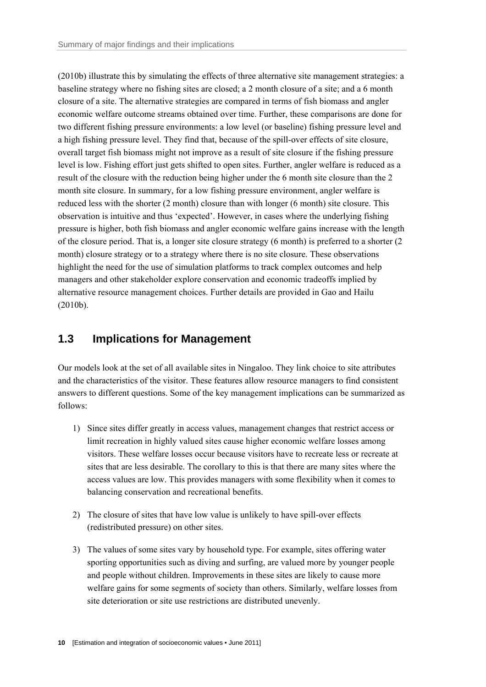(2010b) illustrate this by simulating the effects of three alternative site management strategies: a baseline strategy where no fishing sites are closed; a 2 month closure of a site; and a 6 month closure of a site. The alternative strategies are compared in terms of fish biomass and angler economic welfare outcome streams obtained over time. Further, these comparisons are done for two different fishing pressure environments: a low level (or baseline) fishing pressure level and a high fishing pressure level. They find that, because of the spill-over effects of site closure, overall target fish biomass might not improve as a result of site closure if the fishing pressure level is low. Fishing effort just gets shifted to open sites. Further, angler welfare is reduced as a result of the closure with the reduction being higher under the 6 month site closure than the 2 month site closure. In summary, for a low fishing pressure environment, angler welfare is reduced less with the shorter (2 month) closure than with longer (6 month) site closure. This observation is intuitive and thus 'expected'. However, in cases where the underlying fishing pressure is higher, both fish biomass and angler economic welfare gains increase with the length of the closure period. That is, a longer site closure strategy (6 month) is preferred to a shorter (2 month) closure strategy or to a strategy where there is no site closure. These observations highlight the need for the use of simulation platforms to track complex outcomes and help managers and other stakeholder explore conservation and economic tradeoffs implied by alternative resource management choices. Further details are provided in Gao and Hailu (2010b).

### **1.3 Implications for Management**

Our models look at the set of all available sites in Ningaloo. They link choice to site attributes and the characteristics of the visitor. These features allow resource managers to find consistent answers to different questions. Some of the key management implications can be summarized as follows:

- 1) Since sites differ greatly in access values, management changes that restrict access or limit recreation in highly valued sites cause higher economic welfare losses among visitors. These welfare losses occur because visitors have to recreate less or recreate at sites that are less desirable. The corollary to this is that there are many sites where the access values are low. This provides managers with some flexibility when it comes to balancing conservation and recreational benefits.
- 2) The closure of sites that have low value is unlikely to have spill-over effects (redistributed pressure) on other sites.
- 3) The values of some sites vary by household type. For example, sites offering water sporting opportunities such as diving and surfing, are valued more by younger people and people without children. Improvements in these sites are likely to cause more welfare gains for some segments of society than others. Similarly, welfare losses from site deterioration or site use restrictions are distributed unevenly.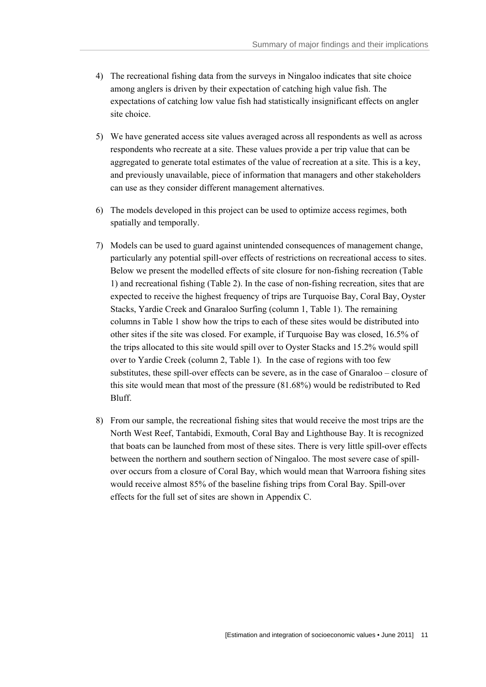- 4) The recreational fishing data from the surveys in Ningaloo indicates that site choice among anglers is driven by their expectation of catching high value fish. The expectations of catching low value fish had statistically insignificant effects on angler site choice.
- 5) We have generated access site values averaged across all respondents as well as across respondents who recreate at a site. These values provide a per trip value that can be aggregated to generate total estimates of the value of recreation at a site. This is a key, and previously unavailable, piece of information that managers and other stakeholders can use as they consider different management alternatives.
- 6) The models developed in this project can be used to optimize access regimes, both spatially and temporally.
- 7) Models can be used to guard against unintended consequences of management change, particularly any potential spill-over effects of restrictions on recreational access to sites. Below we present the modelled effects of site closure for non-fishing recreation (Table 1) and recreational fishing (Table 2). In the case of non-fishing recreation, sites that are expected to receive the highest frequency of trips are Turquoise Bay, Coral Bay, Oyster Stacks, Yardie Creek and Gnaraloo Surfing (column 1, Table 1). The remaining columns in Table 1 show how the trips to each of these sites would be distributed into other sites if the site was closed. For example, if Turquoise Bay was closed, 16.5% of the trips allocated to this site would spill over to Oyster Stacks and 15.2% would spill over to Yardie Creek (column 2, Table 1). In the case of regions with too few substitutes, these spill-over effects can be severe, as in the case of Gnaraloo – closure of this site would mean that most of the pressure (81.68%) would be redistributed to Red Bluff.
- 8) From our sample, the recreational fishing sites that would receive the most trips are the North West Reef, Tantabidi, Exmouth, Coral Bay and Lighthouse Bay. It is recognized that boats can be launched from most of these sites. There is very little spill-over effects between the northern and southern section of Ningaloo. The most severe case of spillover occurs from a closure of Coral Bay, which would mean that Warroora fishing sites would receive almost 85% of the baseline fishing trips from Coral Bay. Spill-over effects for the full set of sites are shown in Appendix C.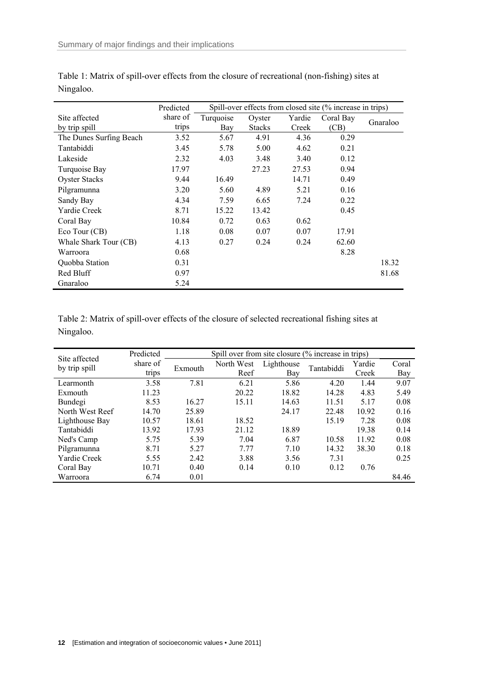|                         | Predicted | Spill-over effects from closed site (% increase in trips) |               |        |           |          |
|-------------------------|-----------|-----------------------------------------------------------|---------------|--------|-----------|----------|
| Site affected           | share of  | Turquoise                                                 | Oyster        | Yardie | Coral Bay | Gnaraloo |
| by trip spill           | trips     | Bay                                                       | <b>Stacks</b> | Creek  | (CB)      |          |
| The Dunes Surfing Beach | 3.52      | 5.67                                                      | 4.91          | 4.36   | 0.29      |          |
| Tantabiddi              | 3.45      | 5.78                                                      | 5.00          | 4.62   | 0.21      |          |
| Lakeside                | 2.32      | 4.03                                                      | 3.48          | 3.40   | 0.12      |          |
| Turquoise Bay           | 17.97     |                                                           | 27.23         | 27.53  | 0.94      |          |
| <b>Oyster Stacks</b>    | 9.44      | 16.49                                                     |               | 14.71  | 0.49      |          |
| Pilgramunna             | 3.20      | 5.60                                                      | 4.89          | 5.21   | 0.16      |          |
| Sandy Bay               | 4.34      | 7.59                                                      | 6.65          | 7.24   | 0.22      |          |
| Yardie Creek            | 8.71      | 15.22                                                     | 13.42         |        | 0.45      |          |
| Coral Bay               | 10.84     | 0.72                                                      | 0.63          | 0.62   |           |          |
| Eco Tour (CB)           | 1.18      | 0.08                                                      | 0.07          | 0.07   | 17.91     |          |
| Whale Shark Tour (CB)   | 4.13      | 0.27                                                      | 0.24          | 0.24   | 62.60     |          |
| Warroora                | 0.68      |                                                           |               |        | 8.28      |          |
| Quobba Station          | 0.31      |                                                           |               |        |           | 18.32    |
| Red Bluff               | 0.97      |                                                           |               |        |           | 81.68    |
| Gnaraloo                | 5.24      |                                                           |               |        |           |          |

| Table 1: Matrix of spill-over effects from the closure of recreational (non-fishing) sites at |  |  |
|-----------------------------------------------------------------------------------------------|--|--|
| Ningaloo.                                                                                     |  |  |

Table 2: Matrix of spill-over effects of the closure of selected recreational fishing sites at Ningaloo.

| Site affected   | Predicted |         | Spill over from site closure (% increase in trips) |            |            |        |       |
|-----------------|-----------|---------|----------------------------------------------------|------------|------------|--------|-------|
| by trip spill   | share of  | Exmouth | North West                                         | Lighthouse | Tantabiddi | Yardie | Coral |
|                 | trips     |         | Reef                                               | Bay        |            | Creek  | Bay   |
| Learmonth       | 3.58      | 7.81    | 6.21                                               | 5.86       | 4.20       | 1.44   | 9.07  |
| Exmouth         | 11.23     |         | 20.22                                              | 18.82      | 14.28      | 4.83   | 5.49  |
| Bundegi         | 8.53      | 16.27   | 15.11                                              | 14.63      | 11.51      | 5.17   | 0.08  |
| North West Reef | 14.70     | 25.89   |                                                    | 24.17      | 22.48      | 10.92  | 0.16  |
| Lighthouse Bay  | 10.57     | 18.61   | 18.52                                              |            | 15.19      | 7.28   | 0.08  |
| Tantabiddi      | 13.92     | 17.93   | 21.12                                              | 18.89      |            | 19.38  | 0.14  |
| Ned's Camp      | 5.75      | 5.39    | 7.04                                               | 6.87       | 10.58      | 11.92  | 0.08  |
| Pilgramunna     | 8.71      | 5.27    | 7.77                                               | 7.10       | 14.32      | 38.30  | 0.18  |
| Yardie Creek    | 5.55      | 2.42    | 3.88                                               | 3.56       | 7.31       |        | 0.25  |
| Coral Bay       | 10.71     | 0.40    | 0.14                                               | 0.10       | 0.12       | 0.76   |       |
| Warroora        | 6.74      | 0.01    |                                                    |            |            |        | 84.46 |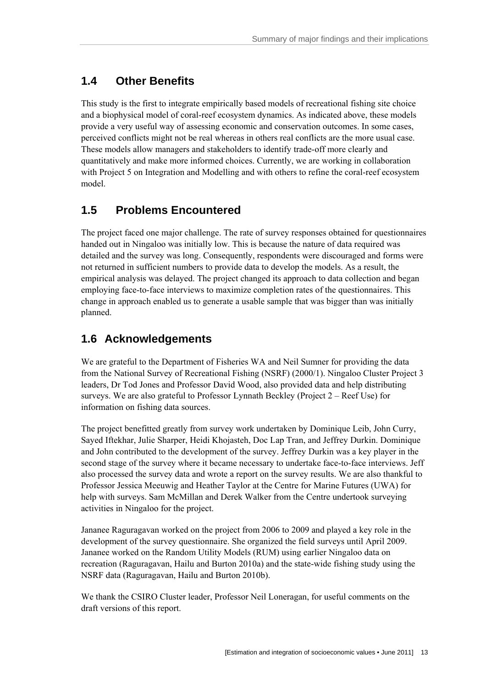### **1.4 Other Benefits**

This study is the first to integrate empirically based models of recreational fishing site choice and a biophysical model of coral-reef ecosystem dynamics. As indicated above, these models provide a very useful way of assessing economic and conservation outcomes. In some cases, perceived conflicts might not be real whereas in others real conflicts are the more usual case. These models allow managers and stakeholders to identify trade-off more clearly and quantitatively and make more informed choices. Currently, we are working in collaboration with Project 5 on Integration and Modelling and with others to refine the coral-reef ecosystem model.

# **1.5 Problems Encountered**

The project faced one major challenge. The rate of survey responses obtained for questionnaires handed out in Ningaloo was initially low. This is because the nature of data required was detailed and the survey was long. Consequently, respondents were discouraged and forms were not returned in sufficient numbers to provide data to develop the models. As a result, the empirical analysis was delayed. The project changed its approach to data collection and began employing face-to-face interviews to maximize completion rates of the questionnaires. This change in approach enabled us to generate a usable sample that was bigger than was initially planned.

# **1.6 Acknowledgements**

We are grateful to the Department of Fisheries WA and Neil Sumner for providing the data from the National Survey of Recreational Fishing (NSRF) (2000/1). Ningaloo Cluster Project 3 leaders, Dr Tod Jones and Professor David Wood, also provided data and help distributing surveys. We are also grateful to Professor Lynnath Beckley (Project 2 – Reef Use) for information on fishing data sources.

The project benefitted greatly from survey work undertaken by Dominique Leib, John Curry, Sayed Iftekhar, Julie Sharper, Heidi Khojasteh, Doc Lap Tran, and Jeffrey Durkin. Dominique and John contributed to the development of the survey. Jeffrey Durkin was a key player in the second stage of the survey where it became necessary to undertake face-to-face interviews. Jeff also processed the survey data and wrote a report on the survey results. We are also thankful to Professor Jessica Meeuwig and Heather Taylor at the Centre for Marine Futures (UWA) for help with surveys. Sam McMillan and Derek Walker from the Centre undertook surveying activities in Ningaloo for the project.

Jananee Raguragavan worked on the project from 2006 to 2009 and played a key role in the development of the survey questionnaire. She organized the field surveys until April 2009. Jananee worked on the Random Utility Models (RUM) using earlier Ningaloo data on recreation (Raguragavan, Hailu and Burton 2010a) and the state-wide fishing study using the NSRF data (Raguragavan, Hailu and Burton 2010b).

We thank the CSIRO Cluster leader, Professor Neil Loneragan, for useful comments on the draft versions of this report.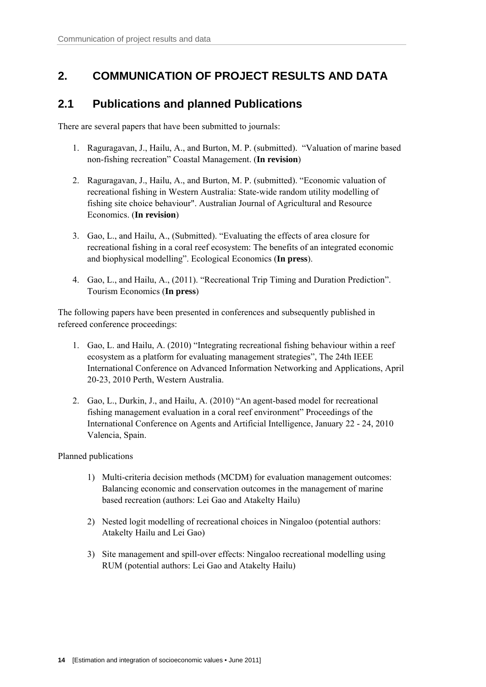## **2. COMMUNICATION OF PROJECT RESULTS AND DATA**

### **2.1 Publications and planned Publications**

There are several papers that have been submitted to journals:

- 1. Raguragavan, J., Hailu, A., and Burton, M. P. (submitted). "Valuation of marine based non-fishing recreation" Coastal Management. (**In revision**)
- 2. Raguragavan, J., Hailu, A., and Burton, M. P. (submitted). "Economic valuation of recreational fishing in Western Australia: State-wide random utility modelling of fishing site choice behaviour". Australian Journal of Agricultural and Resource Economics. (**In revision**)
- 3. Gao, L., and Hailu, A., (Submitted). "Evaluating the effects of area closure for recreational fishing in a coral reef ecosystem: The benefits of an integrated economic and biophysical modelling". Ecological Economics (**In press**).
- 4. Gao, L., and Hailu, A., (2011). "Recreational Trip Timing and Duration Prediction". Tourism Economics (**In press**)

The following papers have been presented in conferences and subsequently published in refereed conference proceedings:

- 1. Gao, L. and Hailu, A. (2010) "Integrating recreational fishing behaviour within a reef ecosystem as a platform for evaluating management strategies", The 24th IEEE International Conference on Advanced Information Networking and Applications, April 20-23, 2010 Perth, Western Australia.
- 2. Gao, L., Durkin, J., and Hailu, A. (2010) "An agent-based model for recreational fishing management evaluation in a coral reef environment" Proceedings of the International Conference on Agents and Artificial Intelligence, January 22 - 24, 2010 Valencia, Spain.

Planned publications

- 1) Multi-criteria decision methods (MCDM) for evaluation management outcomes: Balancing economic and conservation outcomes in the management of marine based recreation (authors: Lei Gao and Atakelty Hailu)
- 2) Nested logit modelling of recreational choices in Ningaloo (potential authors: Atakelty Hailu and Lei Gao)
- 3) Site management and spill-over effects: Ningaloo recreational modelling using RUM (potential authors: Lei Gao and Atakelty Hailu)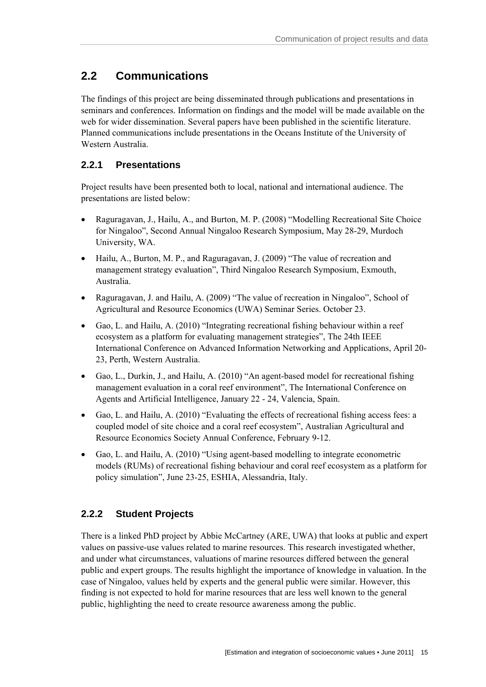# **2.2 Communications**

The findings of this project are being disseminated through publications and presentations in seminars and conferences. Information on findings and the model will be made available on the web for wider dissemination. Several papers have been published in the scientific literature. Planned communications include presentations in the Oceans Institute of the University of Western Australia.

### **2.2.1 Presentations**

Project results have been presented both to local, national and international audience. The presentations are listed below:

- Raguragavan, J., Hailu, A., and Burton, M. P. (2008) "Modelling Recreational Site Choice for Ningaloo", Second Annual Ningaloo Research Symposium, May 28-29, Murdoch University, WA.
- Hailu, A., Burton, M. P., and Raguragavan, J. (2009) "The value of recreation and management strategy evaluation", Third Ningaloo Research Symposium, Exmouth, Australia.
- Raguragavan, J. and Hailu, A. (2009) "The value of recreation in Ningaloo", School of Agricultural and Resource Economics (UWA) Seminar Series. October 23.
- Gao, L. and Hailu, A. (2010) "Integrating recreational fishing behaviour within a reef ecosystem as a platform for evaluating management strategies", The 24th IEEE International Conference on Advanced Information Networking and Applications, April 20- 23, Perth, Western Australia.
- Gao, L., Durkin, J., and Hailu, A. (2010) "An agent-based model for recreational fishing management evaluation in a coral reef environment", The International Conference on Agents and Artificial Intelligence, January 22 - 24, Valencia, Spain.
- Gao, L. and Hailu, A. (2010) "Evaluating the effects of recreational fishing access fees: a coupled model of site choice and a coral reef ecosystem", Australian Agricultural and Resource Economics Society Annual Conference, February 9-12.
- Gao, L. and Hailu, A. (2010) "Using agent-based modelling to integrate econometric models (RUMs) of recreational fishing behaviour and coral reef ecosystem as a platform for policy simulation", June 23-25, ESHIA, Alessandria, Italy.

### **2.2.2 Student Projects**

There is a linked PhD project by Abbie McCartney (ARE, UWA) that looks at public and expert values on passive-use values related to marine resources. This research investigated whether, and under what circumstances, valuations of marine resources differed between the general public and expert groups. The results highlight the importance of knowledge in valuation. In the case of Ningaloo, values held by experts and the general public were similar. However, this finding is not expected to hold for marine resources that are less well known to the general public, highlighting the need to create resource awareness among the public.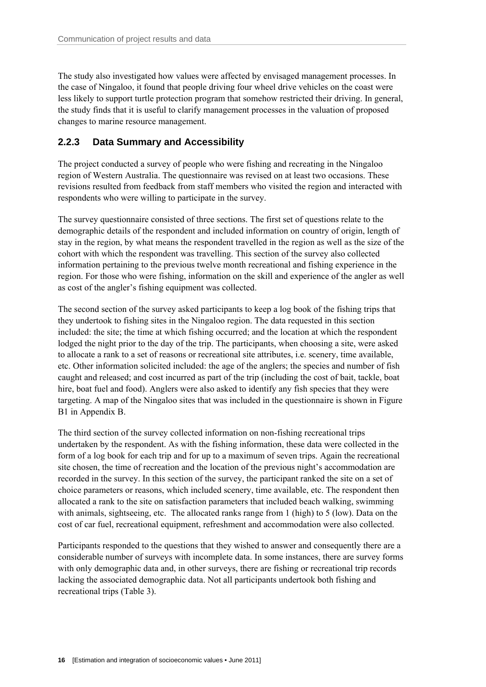The study also investigated how values were affected by envisaged management processes. In the case of Ningaloo, it found that people driving four wheel drive vehicles on the coast were less likely to support turtle protection program that somehow restricted their driving. In general, the study finds that it is useful to clarify management processes in the valuation of proposed changes to marine resource management.

### **2.2.3 Data Summary and Accessibility**

The project conducted a survey of people who were fishing and recreating in the Ningaloo region of Western Australia. The questionnaire was revised on at least two occasions. These revisions resulted from feedback from staff members who visited the region and interacted with respondents who were willing to participate in the survey.

The survey questionnaire consisted of three sections. The first set of questions relate to the demographic details of the respondent and included information on country of origin, length of stay in the region, by what means the respondent travelled in the region as well as the size of the cohort with which the respondent was travelling. This section of the survey also collected information pertaining to the previous twelve month recreational and fishing experience in the region. For those who were fishing, information on the skill and experience of the angler as well as cost of the angler's fishing equipment was collected.

The second section of the survey asked participants to keep a log book of the fishing trips that they undertook to fishing sites in the Ningaloo region. The data requested in this section included: the site; the time at which fishing occurred; and the location at which the respondent lodged the night prior to the day of the trip. The participants, when choosing a site, were asked to allocate a rank to a set of reasons or recreational site attributes, i.e. scenery, time available, etc. Other information solicited included: the age of the anglers; the species and number of fish caught and released; and cost incurred as part of the trip (including the cost of bait, tackle, boat hire, boat fuel and food). Anglers were also asked to identify any fish species that they were targeting. A map of the Ningaloo sites that was included in the questionnaire is shown in Figure B1 in Appendix B.

The third section of the survey collected information on non-fishing recreational trips undertaken by the respondent. As with the fishing information, these data were collected in the form of a log book for each trip and for up to a maximum of seven trips. Again the recreational site chosen, the time of recreation and the location of the previous night's accommodation are recorded in the survey. In this section of the survey, the participant ranked the site on a set of choice parameters or reasons, which included scenery, time available, etc. The respondent then allocated a rank to the site on satisfaction parameters that included beach walking, swimming with animals, sightseeing, etc. The allocated ranks range from 1 (high) to 5 (low). Data on the cost of car fuel, recreational equipment, refreshment and accommodation were also collected.

Participants responded to the questions that they wished to answer and consequently there are a considerable number of surveys with incomplete data. In some instances, there are survey forms with only demographic data and, in other surveys, there are fishing or recreational trip records lacking the associated demographic data. Not all participants undertook both fishing and recreational trips (Table 3).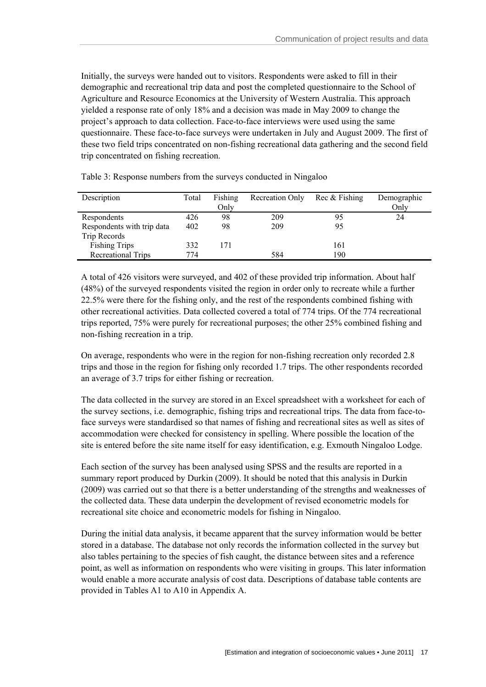Initially, the surveys were handed out to visitors. Respondents were asked to fill in their demographic and recreational trip data and post the completed questionnaire to the School of Agriculture and Resource Economics at the University of Western Australia. This approach yielded a response rate of only 18% and a decision was made in May 2009 to change the project's approach to data collection. Face-to-face interviews were used using the same questionnaire. These face-to-face surveys were undertaken in July and August 2009. The first of these two field trips concentrated on non-fishing recreational data gathering and the second field trip concentrated on fishing recreation.

| Description                | Total | Fishing<br>Only | Recreation Only | Rec & Fishing | Demographic<br>Onlv |
|----------------------------|-------|-----------------|-----------------|---------------|---------------------|
| Respondents                | 426   | 98              | 209             | 95            | 24                  |
| Respondents with trip data | 402   | 98              | 209             | 95            |                     |
| Trip Records               |       |                 |                 |               |                     |
| <b>Fishing Trips</b>       | 332   | 171             |                 | 161           |                     |
| <b>Recreational Trips</b>  | 774   |                 | 584             | 190           |                     |

Table 3: Response numbers from the surveys conducted in Ningaloo

A total of 426 visitors were surveyed, and 402 of these provided trip information. About half (48%) of the surveyed respondents visited the region in order only to recreate while a further 22.5% were there for the fishing only, and the rest of the respondents combined fishing with other recreational activities. Data collected covered a total of 774 trips. Of the 774 recreational trips reported, 75% were purely for recreational purposes; the other 25% combined fishing and non-fishing recreation in a trip.

On average, respondents who were in the region for non-fishing recreation only recorded 2.8 trips and those in the region for fishing only recorded 1.7 trips. The other respondents recorded an average of 3.7 trips for either fishing or recreation.

The data collected in the survey are stored in an Excel spreadsheet with a worksheet for each of the survey sections, i.e. demographic, fishing trips and recreational trips. The data from face-toface surveys were standardised so that names of fishing and recreational sites as well as sites of accommodation were checked for consistency in spelling. Where possible the location of the site is entered before the site name itself for easy identification, e.g. Exmouth Ningaloo Lodge.

Each section of the survey has been analysed using SPSS and the results are reported in a summary report produced by Durkin (2009). It should be noted that this analysis in Durkin (2009) was carried out so that there is a better understanding of the strengths and weaknesses of the collected data. These data underpin the development of revised econometric models for recreational site choice and econometric models for fishing in Ningaloo.

During the initial data analysis, it became apparent that the survey information would be better stored in a database. The database not only records the information collected in the survey but also tables pertaining to the species of fish caught, the distance between sites and a reference point, as well as information on respondents who were visiting in groups. This later information would enable a more accurate analysis of cost data. Descriptions of database table contents are provided in Tables A1 to A10 in Appendix A.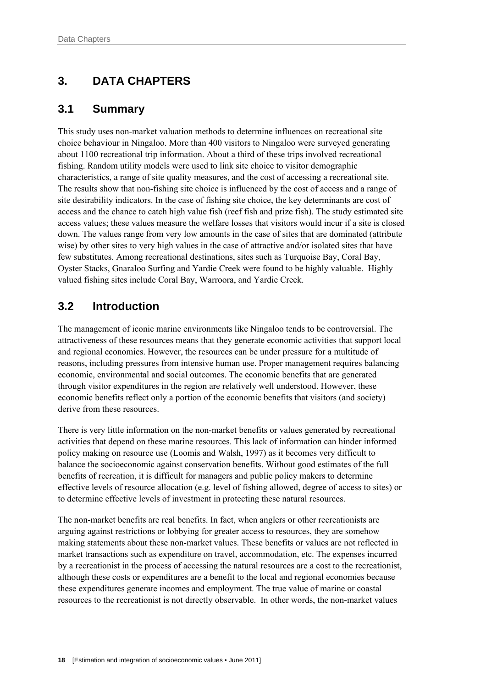# **3. DATA CHAPTERS**

### **3.1 Summary**

This study uses non-market valuation methods to determine influences on recreational site choice behaviour in Ningaloo. More than 400 visitors to Ningaloo were surveyed generating about 1100 recreational trip information. About a third of these trips involved recreational fishing. Random utility models were used to link site choice to visitor demographic characteristics, a range of site quality measures, and the cost of accessing a recreational site. The results show that non-fishing site choice is influenced by the cost of access and a range of site desirability indicators. In the case of fishing site choice, the key determinants are cost of access and the chance to catch high value fish (reef fish and prize fish). The study estimated site access values; these values measure the welfare losses that visitors would incur if a site is closed down. The values range from very low amounts in the case of sites that are dominated (attribute wise) by other sites to very high values in the case of attractive and/or isolated sites that have few substitutes. Among recreational destinations, sites such as Turquoise Bay, Coral Bay, Oyster Stacks, Gnaraloo Surfing and Yardie Creek were found to be highly valuable. Highly valued fishing sites include Coral Bay, Warroora, and Yardie Creek.

# **3.2 Introduction**

The management of iconic marine environments like Ningaloo tends to be controversial. The attractiveness of these resources means that they generate economic activities that support local and regional economies. However, the resources can be under pressure for a multitude of reasons, including pressures from intensive human use. Proper management requires balancing economic, environmental and social outcomes. The economic benefits that are generated through visitor expenditures in the region are relatively well understood. However, these economic benefits reflect only a portion of the economic benefits that visitors (and society) derive from these resources.

There is very little information on the non-market benefits or values generated by recreational activities that depend on these marine resources. This lack of information can hinder informed policy making on resource use (Loomis and Walsh, 1997) as it becomes very difficult to balance the socioeconomic against conservation benefits. Without good estimates of the full benefits of recreation, it is difficult for managers and public policy makers to determine effective levels of resource allocation (e.g. level of fishing allowed, degree of access to sites) or to determine effective levels of investment in protecting these natural resources.

The non-market benefits are real benefits. In fact, when anglers or other recreationists are arguing against restrictions or lobbying for greater access to resources, they are somehow making statements about these non-market values. These benefits or values are not reflected in market transactions such as expenditure on travel, accommodation, etc. The expenses incurred by a recreationist in the process of accessing the natural resources are a cost to the recreationist, although these costs or expenditures are a benefit to the local and regional economies because these expenditures generate incomes and employment. The true value of marine or coastal resources to the recreationist is not directly observable. In other words, the non-market values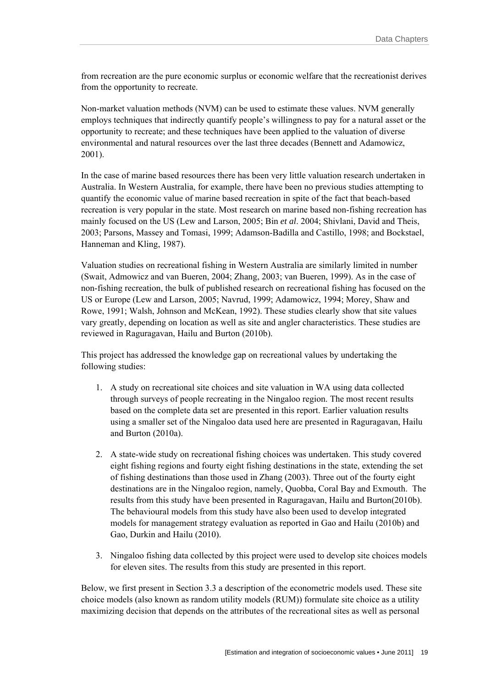from recreation are the pure economic surplus or economic welfare that the recreationist derives from the opportunity to recreate.

Non-market valuation methods (NVM) can be used to estimate these values. NVM generally employs techniques that indirectly quantify people's willingness to pay for a natural asset or the opportunity to recreate; and these techniques have been applied to the valuation of diverse environmental and natural resources over the last three decades (Bennett and Adamowicz, 2001).

In the case of marine based resources there has been very little valuation research undertaken in Australia. In Western Australia, for example, there have been no previous studies attempting to quantify the economic value of marine based recreation in spite of the fact that beach-based recreation is very popular in the state. Most research on marine based non-fishing recreation has mainly focused on the US (Lew and Larson, 2005; Bin *et al*. 2004; Shivlani, David and Theis, 2003; Parsons, Massey and Tomasi, 1999; Adamson-Badilla and Castillo, 1998; and Bockstael, Hanneman and Kling, 1987).

Valuation studies on recreational fishing in Western Australia are similarly limited in number (Swait, Admowicz and van Bueren, 2004; Zhang, 2003; van Bueren, 1999). As in the case of non-fishing recreation, the bulk of published research on recreational fishing has focused on the US or Europe (Lew and Larson, 2005; Navrud, 1999; Adamowicz, 1994; Morey, Shaw and Rowe, 1991; Walsh, Johnson and McKean, 1992). These studies clearly show that site values vary greatly, depending on location as well as site and angler characteristics. These studies are reviewed in Raguragavan, Hailu and Burton (2010b).

This project has addressed the knowledge gap on recreational values by undertaking the following studies:

- 1. A study on recreational site choices and site valuation in WA using data collected through surveys of people recreating in the Ningaloo region. The most recent results based on the complete data set are presented in this report. Earlier valuation results using a smaller set of the Ningaloo data used here are presented in Raguragavan, Hailu and Burton (2010a).
- 2. A state-wide study on recreational fishing choices was undertaken. This study covered eight fishing regions and fourty eight fishing destinations in the state, extending the set of fishing destinations than those used in Zhang (2003). Three out of the fourty eight destinations are in the Ningaloo region, namely, Quobba, Coral Bay and Exmouth. The results from this study have been presented in Raguragavan, Hailu and Burton(2010b). The behavioural models from this study have also been used to develop integrated models for management strategy evaluation as reported in Gao and Hailu (2010b) and Gao, Durkin and Hailu (2010).
- 3. Ningaloo fishing data collected by this project were used to develop site choices models for eleven sites. The results from this study are presented in this report.

Below, we first present in Section 3.3 a description of the econometric models used. These site choice models (also known as random utility models (RUM)) formulate site choice as a utility maximizing decision that depends on the attributes of the recreational sites as well as personal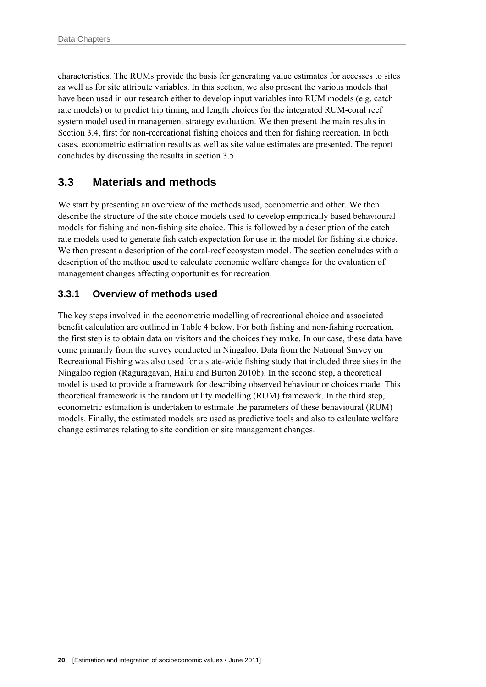characteristics. The RUMs provide the basis for generating value estimates for accesses to sites as well as for site attribute variables. In this section, we also present the various models that have been used in our research either to develop input variables into RUM models (e.g. catch rate models) or to predict trip timing and length choices for the integrated RUM-coral reef system model used in management strategy evaluation. We then present the main results in Section 3.4, first for non-recreational fishing choices and then for fishing recreation. In both cases, econometric estimation results as well as site value estimates are presented. The report concludes by discussing the results in section 3.5.

### **3.3 Materials and methods**

We start by presenting an overview of the methods used, econometric and other. We then describe the structure of the site choice models used to develop empirically based behavioural models for fishing and non-fishing site choice. This is followed by a description of the catch rate models used to generate fish catch expectation for use in the model for fishing site choice. We then present a description of the coral-reef ecosystem model. The section concludes with a description of the method used to calculate economic welfare changes for the evaluation of management changes affecting opportunities for recreation.

### **3.3.1 Overview of methods used**

The key steps involved in the econometric modelling of recreational choice and associated benefit calculation are outlined in Table 4 below. For both fishing and non-fishing recreation, the first step is to obtain data on visitors and the choices they make. In our case, these data have come primarily from the survey conducted in Ningaloo. Data from the National Survey on Recreational Fishing was also used for a state-wide fishing study that included three sites in the Ningaloo region (Raguragavan, Hailu and Burton 2010b). In the second step, a theoretical model is used to provide a framework for describing observed behaviour or choices made. This theoretical framework is the random utility modelling (RUM) framework. In the third step, econometric estimation is undertaken to estimate the parameters of these behavioural (RUM) models. Finally, the estimated models are used as predictive tools and also to calculate welfare change estimates relating to site condition or site management changes.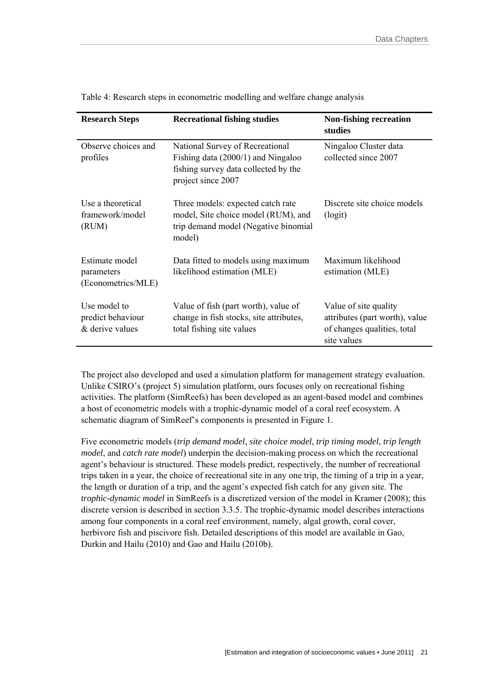| <b>Research Steps</b>                                | <b>Recreational fishing studies</b>                                                                                                   | <b>Non-fishing recreation</b><br>studies                                                              |  |
|------------------------------------------------------|---------------------------------------------------------------------------------------------------------------------------------------|-------------------------------------------------------------------------------------------------------|--|
| Observe choices and<br>profiles                      | National Survey of Recreational<br>Fishing data $(2000/1)$ and Ningaloo<br>fishing survey data collected by the<br>project since 2007 | Ningaloo Cluster data<br>collected since 2007                                                         |  |
| Use a theoretical<br>framework/model<br>(RUM)        | Three models: expected catch rate<br>model, Site choice model (RUM), and<br>trip demand model (Negative binomial<br>model)            | Discrete site choice models<br>(logit)                                                                |  |
| Estimate model<br>parameters<br>(Econometrics/MLE)   | Data fitted to models using maximum<br>likelihood estimation (MLE)                                                                    | Maximum likelihood<br>estimation (MLE)                                                                |  |
| Use model to<br>predict behaviour<br>& derive values | Value of fish (part worth), value of<br>change in fish stocks, site attributes,<br>total fishing site values                          | Value of site quality<br>attributes (part worth), value<br>of changes qualities, total<br>site values |  |

Table 4: Research steps in econometric modelling and welfare change analysis

The project also developed and used a simulation platform for management strategy evaluation. Unlike CSIRO's (project 5) simulation platform, ours focuses only on recreational fishing activities. The platform (SimReefs) has been developed as an agent-based model and combines a host of econometric models with a trophic-dynamic model of a coral reef ecosystem. A schematic diagram of SimReef's components is presented in Figure 1.

Five econometric models (*trip demand model*, *site choice model*, *trip timing model*, *trip length model*, and *catch rate model*) underpin the decision-making process on which the recreational agent's behaviour is structured. These models predict, respectively, the number of recreational trips taken in a year, the choice of recreational site in any one trip, the timing of a trip in a year, the length or duration of a trip, and the agent's expected fish catch for any given site. The *trophic-dynamic model* in SimReefs is a discretized version of the model in Kramer (2008); this discrete version is described in section 3.3.5. The trophic-dynamic model describes interactions among four components in a coral reef environment, namely, algal growth, coral cover, herbivore fish and piscivore fish. Detailed descriptions of this model are available in Gao, Durkin and Hailu (2010) and Gao and Hailu (2010b).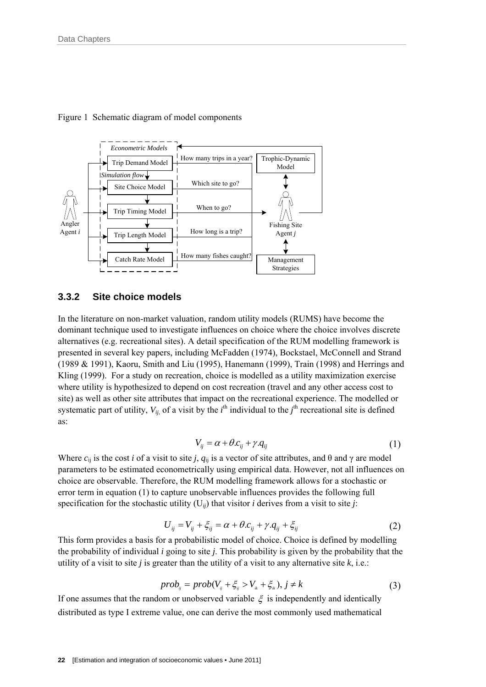

Figure 1 Schematic diagram of model components

#### **3.3.2 Site choice models**

In the literature on non-market valuation, random utility models (RUMS) have become the dominant technique used to investigate influences on choice where the choice involves discrete alternatives (e.g. recreational sites). A detail specification of the RUM modelling framework is presented in several key papers, including McFadden (1974), Bockstael, McConnell and Strand (1989 & 1991), Kaoru, Smith and Liu (1995), Hanemann (1999), Train (1998) and Herrings and Kling (1999). For a study on recreation, choice is modelled as a utility maximization exercise where utility is hypothesized to depend on cost recreation (travel and any other access cost to site) as well as other site attributes that impact on the recreational experience. The modelled or systematic part of utility,  $V_{ij}$ , of a visit by the  $i^{\text{th}}$  individual to the  $j^{\text{th}}$  recreational site is defined as:

$$
V_{ij} = \alpha + \theta.c_{ij} + \gamma.q_{ij}
$$
 (1)

Where  $c_{ij}$  is the cost *i* of a visit to site *j*,  $q_{ij}$  is a vector of site attributes, and  $\theta$  and  $\gamma$  are model parameters to be estimated econometrically using empirical data. However, not all influences on choice are observable. Therefore, the RUM modelling framework allows for a stochastic or error term in equation (1) to capture unobservable influences provides the following full specification for the stochastic utility  $(U_{ij})$  that visitor *i* derives from a visit to site *j*:

$$
U_{ij} = V_{ij} + \xi_{ij} = \alpha + \theta.c_{ij} + \gamma.q_{ij} + \xi_{ij}
$$
\n<sup>(2)</sup>

This form provides a basis for a probabilistic model of choice. Choice is defined by modelling the probability of individual *i* going to site *j*. This probability is given by the probability that the utility of a visit to site  $j$  is greater than the utility of a visit to any alternative site  $k$ , i.e.:

$$
prob_{ij} = prob(V_{ij} + \xi_{ij} > V_{ik} + \xi_{ik}), j \neq k
$$
\n(3)

If one assumes that the random or unobserved variable  $\xi$  is independently and identically distributed as type I extreme value, one can derive the most commonly used mathematical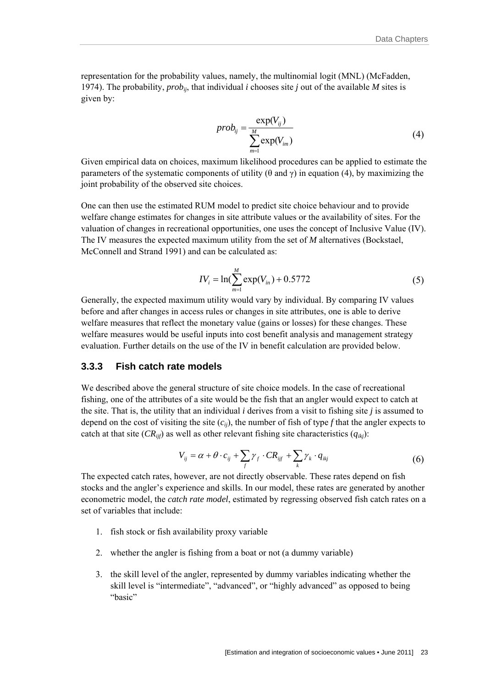representation for the probability values, namely, the multinomial logit (MNL) (McFadden, 1974). The probability,  $prob_{ii}$ , that individual *i* chooses site *j* out of the available *M* sites is given by:

$$
prob_{ij} = \frac{\exp(V_{ij})}{\sum_{m=1}^{M} \exp(V_{im})}
$$
(4)

Given empirical data on choices, maximum likelihood procedures can be applied to estimate the parameters of the systematic components of utility (θ and γ) in equation (4), by maximizing the joint probability of the observed site choices.

One can then use the estimated RUM model to predict site choice behaviour and to provide welfare change estimates for changes in site attribute values or the availability of sites. For the valuation of changes in recreational opportunities, one uses the concept of Inclusive Value (IV). The IV measures the expected maximum utility from the set of *M* alternatives (Bockstael, McConnell and Strand 1991) and can be calculated as:

$$
IV_{i} = \ln(\sum_{m=1}^{M} \exp(V_{in}) + 0.5772 \tag{5}
$$

Generally, the expected maximum utility would vary by individual. By comparing IV values before and after changes in access rules or changes in site attributes, one is able to derive welfare measures that reflect the monetary value (gains or losses) for these changes. These welfare measures would be useful inputs into cost benefit analysis and management strategy evaluation. Further details on the use of the IV in benefit calculation are provided below.

#### **3.3.3 Fish catch rate models**

We described above the general structure of site choice models. In the case of recreational fishing, one of the attributes of a site would be the fish that an angler would expect to catch at the site. That is, the utility that an individual *i* derives from a visit to fishing site *j* is assumed to depend on the cost of visiting the site  $(c_{ij})$ , the number of fish of type  $f$  that the angler expects to catch at that site  $(CR_{ijf})$  as well as other relevant fishing site characteristics  $(q_{ikj})$ :

$$
V_{ij} = \alpha + \theta \cdot c_{ij} + \sum_{f} \gamma_{f} \cdot CR_{ijf} + \sum_{k} \gamma_{k} \cdot q_{ikj}
$$
 (6)

The expected catch rates, however, are not directly observable. These rates depend on fish stocks and the angler's experience and skills. In our model, these rates are generated by another econometric model, the *catch rate model*, estimated by regressing observed fish catch rates on a set of variables that include:

- 1. fish stock or fish availability proxy variable
- 2. whether the angler is fishing from a boat or not (a dummy variable)
- 3. the skill level of the angler, represented by dummy variables indicating whether the skill level is "intermediate", "advanced", or "highly advanced" as opposed to being "basic"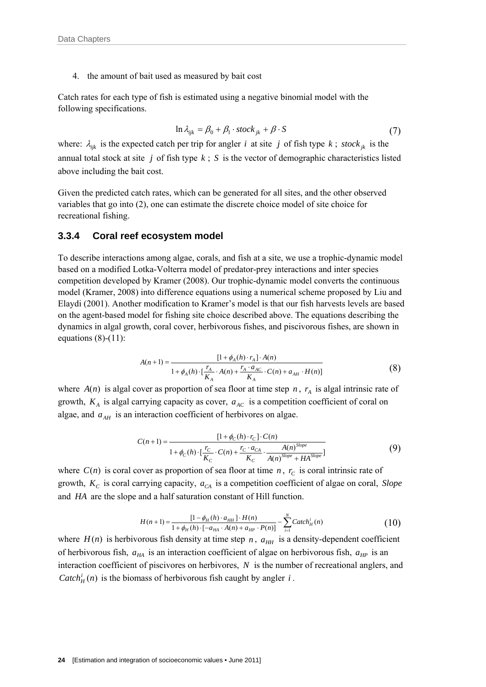4. the amount of bait used as measured by bait cost

Catch rates for each type of fish is estimated using a negative binomial model with the following specifications.

$$
\ln \lambda_{ijk} = \beta_0 + \beta_1 \cdot stock_{jk} + \beta \cdot S \tag{7}
$$

where:  $\lambda_{ijk}$  is the expected catch per trip for angler *i* at site *j* of fish type *k* ; *stock*<sub>*jk*</sub> is the annual total stock at site *j* of fish type *k* ; *S* is the vector of demographic characteristics listed above including the bait cost.

Given the predicted catch rates, which can be generated for all sites, and the other observed variables that go into (2), one can estimate the discrete choice model of site choice for recreational fishing.

#### **3.3.4 Coral reef ecosystem model**

To describe interactions among algae, corals, and fish at a site, we use a trophic-dynamic model based on a modified Lotka-Volterra model of predator-prey interactions and inter species competition developed by Kramer (2008). Our trophic-dynamic model converts the continuous model (Kramer, 2008) into difference equations using a numerical scheme proposed by Liu and Elaydi (2001). Another modification to Kramer's model is that our fish harvests levels are based on the agent-based model for fishing site choice described above. The equations describing the dynamics in algal growth, coral cover, herbivorous fishes, and piscivorous fishes, are shown in equations  $(8)-(11)$ :

$$
A(n+1) = \frac{[1 + \phi_A(h) \cdot r_A] \cdot A(n)}{1 + \phi_A(h) \cdot [\frac{r_A}{K_A} \cdot A(n) + \frac{r_A \cdot a_{AC}}{K_A} \cdot C(n) + a_{AH} \cdot H(n)]}
$$
(8)

where  $A(n)$  is algal cover as proportion of sea floor at time step *n*,  $r_A$  is algal intrinsic rate of growth,  $K_A$  is algal carrying capacity as cover,  $a_{AC}$  is a competition coefficient of coral on algae, and  $a_{AH}$  is an interaction coefficient of herbivores on algae.

$$
C(n+1) = \frac{[1 + \phi_C(h) \cdot r_C] \cdot C(n)}{1 + \phi_C(h) \cdot [\frac{r_C}{K_C} \cdot C(n) + \frac{r_C \cdot a_{CA}}{K_C} \cdot \frac{A(n)^{Slope}}{A(n)^{Slope} + HA^{Slope}]} \tag{9}
$$

where  $C(n)$  is coral cover as proportion of sea floor at time *n*,  $r_c$  is coral intrinsic rate of growth,  $K_c$  is coral carrying capacity,  $a_{CA}$  is a competition coefficient of algae on coral, *Slope* and *HA* are the slope and a half saturation constant of Hill function.

$$
H(n+1) = \frac{[1 - \phi_H(h) \cdot a_{HH}] \cdot H(n)}{1 + \phi_H(h) \cdot [-a_{HA} \cdot A(n) + a_{HP} \cdot P(n)]} - \sum_{i=1}^{N} \text{Catch}_H^i(n)
$$
(10)

where  $H(n)$  is herbivorous fish density at time step *n*,  $a_{HH}$  is a density-dependent coefficient of herbivorous fish,  $a_{HA}$  is an interaction coefficient of algae on herbivorous fish,  $a_{HP}$  is an interaction coefficient of piscivores on herbivores, *N* is the number of recreational anglers, and *Catch*<sup>*i*</sup><sub>*H*</sub> (*n*) is the biomass of herbivorous fish caught by angler *i*.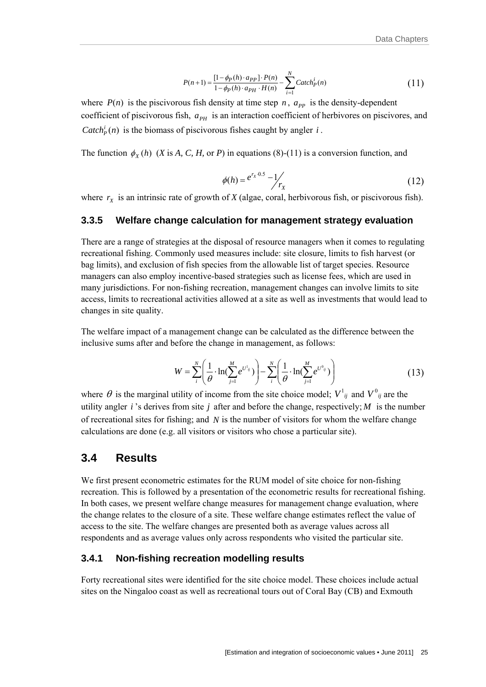$$
P(n+1) = \frac{[1 - \phi_P(h) \cdot a_{PP}] \cdot P(n)}{1 - \phi_P(h) \cdot a_{PH} \cdot H(n)} - \sum_{i=1}^{N} \text{Catch}_P^i(n)
$$
(11)

where  $P(n)$  is the piscivorous fish density at time step *n*,  $a_{PP}$  is the density-dependent coefficient of piscivorous fish,  $a_{PH}$  is an interaction coefficient of herbivores on piscivores, and *Catch*<sup>*i*</sup><sub>*p*</sub>(*n*) is the biomass of piscivorous fishes caught by angler *i*.

The function  $\phi_x(h)$  (*X* is *A*, *C*, *H*, or *P*) in equations (8)-(11) is a conversion function, and

$$
\phi(h) = e^{r_X \cdot 0.5} - 1 / \frac{1}{r_X} \tag{12}
$$

where  $r_X$  is an intrinsic rate of growth of *X* (algae, coral, herbivorous fish, or piscivorous fish).

#### **3.3.5 Welfare change calculation for management strategy evaluation**

There are a range of strategies at the disposal of resource managers when it comes to regulating recreational fishing. Commonly used measures include: site closure, limits to fish harvest (or bag limits), and exclusion of fish species from the allowable list of target species. Resource managers can also employ incentive-based strategies such as license fees, which are used in many jurisdictions. For non-fishing recreation, management changes can involve limits to site access, limits to recreational activities allowed at a site as well as investments that would lead to changes in site quality.

The welfare impact of a management change can be calculated as the difference between the inclusive sums after and before the change in management, as follows:

$$
W = \sum_{i}^{N} \left( \frac{1}{\theta} \cdot \ln(\sum_{j=1}^{M} e^{U^{1}_{ij}}) \right) - \sum_{i}^{N} \left( \frac{1}{\theta} \cdot \ln(\sum_{j=1}^{M} e^{U^{0}_{ij}}) \right)
$$
(13)

where  $\theta$  is the marginal utility of income from the site choice model;  $V^1_{ij}$  and  $V^0_{ij}$  are the utility angler  $i$  's derives from site  $j$  after and before the change, respectively;  $M$  is the number of recreational sites for fishing; and *N* is the number of visitors for whom the welfare change calculations are done (e.g. all visitors or visitors who chose a particular site).

#### **3.4 Results**

We first present econometric estimates for the RUM model of site choice for non-fishing recreation. This is followed by a presentation of the econometric results for recreational fishing. In both cases, we present welfare change measures for management change evaluation, where the change relates to the closure of a site. These welfare change estimates reflect the value of access to the site. The welfare changes are presented both as average values across all respondents and as average values only across respondents who visited the particular site.

#### **3.4.1 Non-fishing recreation modelling results**

Forty recreational sites were identified for the site choice model. These choices include actual sites on the Ningaloo coast as well as recreational tours out of Coral Bay (CB) and Exmouth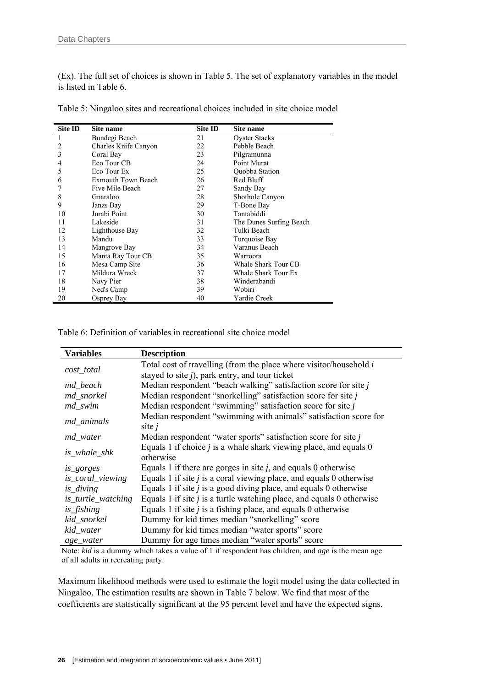(Ex). The full set of choices is shown in Table 5. The set of explanatory variables in the model is listed in Table 6.

| <b>Site ID</b> | Site name                 | Site ID | Site name               |
|----------------|---------------------------|---------|-------------------------|
| 1              | Bundegi Beach             | 21      | <b>Oyster Stacks</b>    |
| 2              | Charles Knife Canyon      | 22      | Pebble Beach            |
| 3              | Coral Bay                 | 23      | Pilgramunna             |
| 4              | Eco Tour CB               | 24      | Point Murat             |
| 5              | Eco Tour Ex               | 25      | Quobba Station          |
| 6              | <b>Exmouth Town Beach</b> | 26      | Red Bluff               |
|                | Five Mile Beach           | 27      | Sandy Bay               |
| 8              | Gnaraloo                  | 28      | Shothole Canyon         |
| 9              | Janzs Bay                 | 29      | T-Bone Bay              |
| 10             | Jurabi Point              | 30      | Tantabiddi              |
| 11             | Lakeside                  | 31      | The Dunes Surfing Beach |
| 12             | Lighthouse Bay            | 32      | Tulki Beach             |
| 13             | Mandu                     | 33      | Turquoise Bay           |
| 14             | Mangrove Bay              | 34      | Varanus Beach           |
| 15             | Manta Ray Tour CB         | 35      | Warroora                |
| 16             | Mesa Camp Site            | 36      | Whale Shark Tour CB     |
| 17             | Mildura Wreck             | 37      | Whale Shark Tour Ex     |
| 18             | Navy Pier                 | 38      | Winderabandi            |
| 19             | Ned's Camp                | 39      | Wobiri                  |
| 20             | Osprey Bay                | 40      | Yardie Creek            |

Table 5: Ningaloo sites and recreational choices included in site choice model

Table 6: Definition of variables in recreational site choice model

| <b>Variables</b>    | <b>Description</b>                                                      |
|---------------------|-------------------------------------------------------------------------|
| cost_total          | Total cost of travelling (from the place where visitor/household i      |
|                     | stayed to site $j$ ), park entry, and tour ticket                       |
| md_beach            | Median respondent "beach walking" satisfaction score for site $j$       |
| md_snorkel          | Median respondent "snorkelling" satisfaction score for site $j$         |
| md_swim             | Median respondent "swimming" satisfaction score for site j              |
| md_animals          | Median respondent "swimming with animals" satisfaction score for        |
|                     | site $i$                                                                |
| md_water            | Median respondent "water sports" satisfaction score for site j          |
| <i>is</i> whale shk | Equals 1 if choice $j$ is a whale shark viewing place, and equals 0     |
|                     | otherwise                                                               |
| is gorges           | Equals 1 if there are gorges in site $j$ , and equals 0 otherwise       |
| is_coral_viewing    | Equals 1 if site $j$ is a coral viewing place, and equals 0 otherwise   |
| is_diving           | Equals 1 if site $j$ is a good diving place, and equals 0 otherwise     |
| is_turtle_watching  | Equals 1 if site $j$ is a turtle watching place, and equals 0 otherwise |
| is_fishing          | Equals 1 if site $j$ is a fishing place, and equals 0 otherwise         |
| kid_snorkel         | Dummy for kid times median "snorkelling" score                          |
| kid_water           | Dummy for kid times median "water sports" score                         |
| age_water           | Dummy for age times median "water sports" score                         |

Note: *kid* is a dummy which takes a value of 1 if respondent has children, and *age* is the mean age of all adults in recreating party.

Maximum likelihood methods were used to estimate the logit model using the data collected in Ningaloo. The estimation results are shown in Table 7 below. We find that most of the coefficients are statistically significant at the 95 percent level and have the expected signs.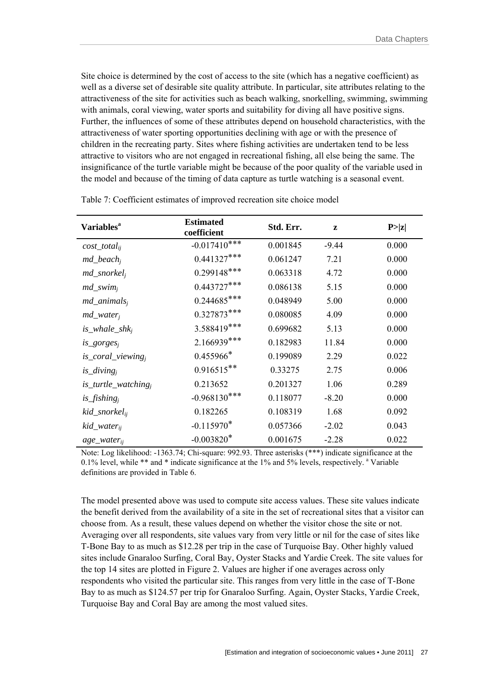Site choice is determined by the cost of access to the site (which has a negative coefficient) as well as a diverse set of desirable site quality attribute. In particular, site attributes relating to the attractiveness of the site for activities such as beach walking, snorkelling, swimming, swimming with animals, coral viewing, water sports and suitability for diving all have positive signs. Further, the influences of some of these attributes depend on household characteristics, with the attractiveness of water sporting opportunities declining with age or with the presence of children in the recreating party. Sites where fishing activities are undertaken tend to be less attractive to visitors who are not engaged in recreational fishing, all else being the same. The insignificance of the turtle variable might be because of the poor quality of the variable used in the model and because of the timing of data capture as turtle watching is a seasonal event.

| <b>Variables</b> <sup>a</sup>      | <b>Estimated</b><br>coefficient | Std. Err. | z       | P >  z |
|------------------------------------|---------------------------------|-----------|---------|--------|
| $cost\_total_{ij}$                 | $-0.017410***$                  | 0.001845  | $-9.44$ | 0.000  |
| $md\_beach_i$                      | $0.441327***$                   | 0.061247  | 7.21    | 0.000  |
| $md\_snorkel_i$                    | $0.299148$ ***                  | 0.063318  | 4.72    | 0.000  |
| $md\_swim_i$                       | $0.443727***$                   | 0.086138  | 5.15    | 0.000  |
| $md\_animals_i$                    | $0.244685***$                   | 0.048949  | 5.00    | 0.000  |
| $md\_water_i$                      | $0.327873***$                   | 0.080085  | 4.09    | 0.000  |
| is_whale_sh $k_i$                  | 3.588419***                     | 0.699682  | 5.13    | 0.000  |
| $is\_gorges_i$                     | 2.166939***                     | 0.182983  | 11.84   | 0.000  |
| is_coral_viewing <sub>i</sub>      | $0.455966*$                     | 0.199089  | 2.29    | 0.022  |
| $is\_diving_i$                     | $0.916515**$                    | 0.33275   | 2.75    | 0.006  |
| $is$ _turtle_watching <sub>i</sub> | 0.213652                        | 0.201327  | 1.06    | 0.289  |
| $is\_fishing_i$                    | $-0.968130***$                  | 0.118077  | $-8.20$ | 0.000  |
| kid_snorkel <sub>ii</sub>          | 0.182265                        | 0.108319  | 1.68    | 0.092  |
| kid_water <sub>ii</sub>            | $-0.115970*$                    | 0.057366  | $-2.02$ | 0.043  |
| $age\_water_{ij}$                  | $-0.003820*$                    | 0.001675  | $-2.28$ | 0.022  |

Table 7: Coefficient estimates of improved recreation site choice model

Note: Log likelihood: -1363.74; Chi-square: 992.93. Three asterisks (\*\*\*) indicate significance at the 0.1% level, while \*\* and \* indicate significance at the 1% and 5% levels, respectively. <sup>a</sup> Variable definitions are provided in Table 6.

The model presented above was used to compute site access values. These site values indicate the benefit derived from the availability of a site in the set of recreational sites that a visitor can choose from. As a result, these values depend on whether the visitor chose the site or not. Averaging over all respondents, site values vary from very little or nil for the case of sites like T-Bone Bay to as much as \$12.28 per trip in the case of Turquoise Bay. Other highly valued sites include Gnaraloo Surfing, Coral Bay, Oyster Stacks and Yardie Creek. The site values for the top 14 sites are plotted in Figure 2. Values are higher if one averages across only respondents who visited the particular site. This ranges from very little in the case of T-Bone Bay to as much as \$124.57 per trip for Gnaraloo Surfing. Again, Oyster Stacks, Yardie Creek, Turquoise Bay and Coral Bay are among the most valued sites.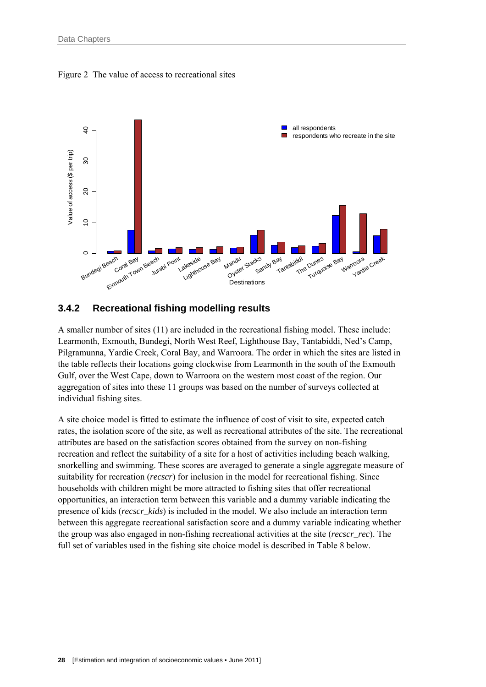



#### **3.4.2 Recreational fishing modelling results**

A smaller number of sites (11) are included in the recreational fishing model. These include: Learmonth, Exmouth, Bundegi, North West Reef, Lighthouse Bay, Tantabiddi, Ned's Camp, Pilgramunna, Yardie Creek, Coral Bay, and Warroora. The order in which the sites are listed in the table reflects their locations going clockwise from Learmonth in the south of the Exmouth Gulf, over the West Cape, down to Warroora on the western most coast of the region. Our aggregation of sites into these 11 groups was based on the number of surveys collected at individual fishing sites.

A site choice model is fitted to estimate the influence of cost of visit to site, expected catch rates, the isolation score of the site, as well as recreational attributes of the site. The recreational attributes are based on the satisfaction scores obtained from the survey on non-fishing recreation and reflect the suitability of a site for a host of activities including beach walking, snorkelling and swimming. These scores are averaged to generate a single aggregate measure of suitability for recreation (*recscr*) for inclusion in the model for recreational fishing. Since households with children might be more attracted to fishing sites that offer recreational opportunities, an interaction term between this variable and a dummy variable indicating the presence of kids (*recscr\_kids*) is included in the model. We also include an interaction term between this aggregate recreational satisfaction score and a dummy variable indicating whether the group was also engaged in non-fishing recreational activities at the site (*recscr\_rec*). The full set of variables used in the fishing site choice model is described in Table 8 below.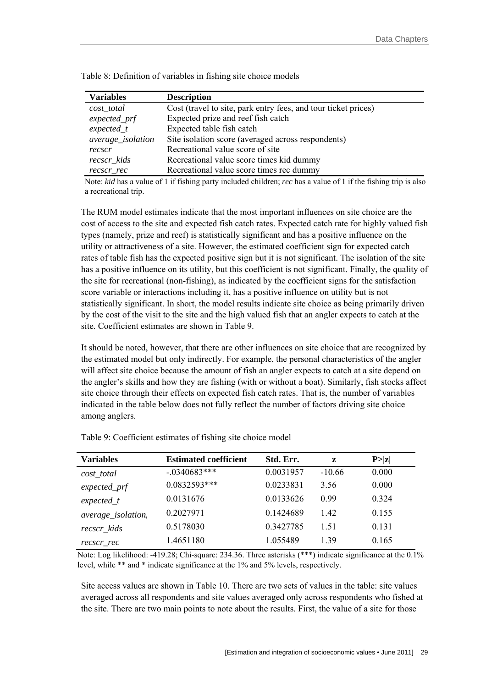| <b>Variables</b>  | <b>Description</b>                                             |  |  |  |
|-------------------|----------------------------------------------------------------|--|--|--|
| $cost\_total$     | Cost (travel to site, park entry fees, and tour ticket prices) |  |  |  |
| $expected\_prf$   | Expected prize and reef fish catch                             |  |  |  |
| $expected_t$      | Expected table fish catch                                      |  |  |  |
| average_isolation | Site isolation score (averaged across respondents)             |  |  |  |
| recscr            | Recreational value score of site                               |  |  |  |
| recscr kids       | Recreational value score times kid dummy                       |  |  |  |
| recscr rec        | Recreational value score times rec dummy                       |  |  |  |

Table 8: Definition of variables in fishing site choice models

Note: *kid* has a value of 1 if fishing party included children; *rec* has a value of 1 if the fishing trip is also a recreational trip.

The RUM model estimates indicate that the most important influences on site choice are the cost of access to the site and expected fish catch rates. Expected catch rate for highly valued fish types (namely, prize and reef) is statistically significant and has a positive influence on the utility or attractiveness of a site. However, the estimated coefficient sign for expected catch rates of table fish has the expected positive sign but it is not significant. The isolation of the site has a positive influence on its utility, but this coefficient is not significant. Finally, the quality of the site for recreational (non-fishing), as indicated by the coefficient signs for the satisfaction score variable or interactions including it, has a positive influence on utility but is not statistically significant. In short, the model results indicate site choice as being primarily driven by the cost of the visit to the site and the high valued fish that an angler expects to catch at the site. Coefficient estimates are shown in Table 9.

It should be noted, however, that there are other influences on site choice that are recognized by the estimated model but only indirectly. For example, the personal characteristics of the angler will affect site choice because the amount of fish an angler expects to catch at a site depend on the angler's skills and how they are fishing (with or without a boat). Similarly, fish stocks affect site choice through their effects on expected fish catch rates. That is, the number of variables indicated in the table below does not fully reflect the number of factors driving site choice among anglers.

| <b>Variables</b>       | <b>Estimated coefficient</b> | Std. Err. | z        | P >  z |
|------------------------|------------------------------|-----------|----------|--------|
| $cost\_total$          | $-.0340683***$               | 0.0031957 | $-10.66$ | 0.000  |
| $expected\_prf$        | $0.0832593***$               | 0.0233831 | 3.56     | 0.000  |
| $expected_t$           | 0.0131676                    | 0.0133626 | 0.99     | 0.324  |
| $average\_isolation_i$ | 0.2027971                    | 0.1424689 | 1.42     | 0.155  |
| recscr kids            | 0.5178030                    | 0.3427785 | 1.51     | 0.131  |
| recscr rec             | 1.4651180                    | 1.055489  | 1.39     | 0.165  |

Table 9: Coefficient estimates of fishing site choice model

Note: Log likelihood: -419.28; Chi-square: 234.36. Three asterisks (\*\*\*) indicate significance at the 0.1% level, while \*\* and \* indicate significance at the 1% and 5% levels, respectively.

Site access values are shown in Table 10. There are two sets of values in the table: site values averaged across all respondents and site values averaged only across respondents who fished at the site. There are two main points to note about the results. First, the value of a site for those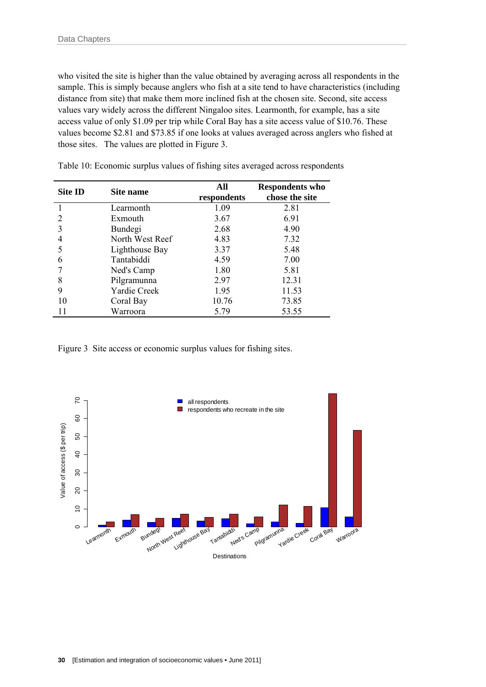who visited the site is higher than the value obtained by averaging across all respondents in the sample. This is simply because anglers who fish at a site tend to have characteristics (including distance from site) that make them more inclined fish at the chosen site. Second, site access values vary widely across the different Ningaloo sites. Learmonth, for example, has a site access value of only \$1.09 per trip while Coral Bay has a site access value of \$10.76. These values become \$2.81 and \$73.85 if one looks at values averaged across anglers who fished at those sites. The values are plotted in Figure 3.

| Site ID                     | Site name       | All<br>respondents | <b>Respondents who</b><br>chose the site |
|-----------------------------|-----------------|--------------------|------------------------------------------|
|                             | Learmonth       | 1.09               | 2.81                                     |
| $\mathcal{D}_{\mathcal{L}}$ | Exmouth         | 3.67               | 6.91                                     |
|                             | Bundegi         | 2.68               | 4.90                                     |
|                             | North West Reef | 4.83               | 7.32                                     |
|                             | Lighthouse Bay  | 3.37               | 5.48                                     |
| 6                           | Tantabiddi      | 4.59               | 7.00                                     |
|                             | Ned's Camp      | 1.80               | 5.81                                     |
| 8                           | Pilgramunna     | 2.97               | 12.31                                    |
| 9                           | Yardie Creek    | 1.95               | 11.53                                    |
| 10                          | Coral Bay       | 10.76              | 73.85                                    |
| 11                          | Warroora        | 5.79               | 53.55                                    |

Table 10: Economic surplus values of fishing sites averaged across respondents

Figure 3 Site access or economic surplus values for fishing sites.

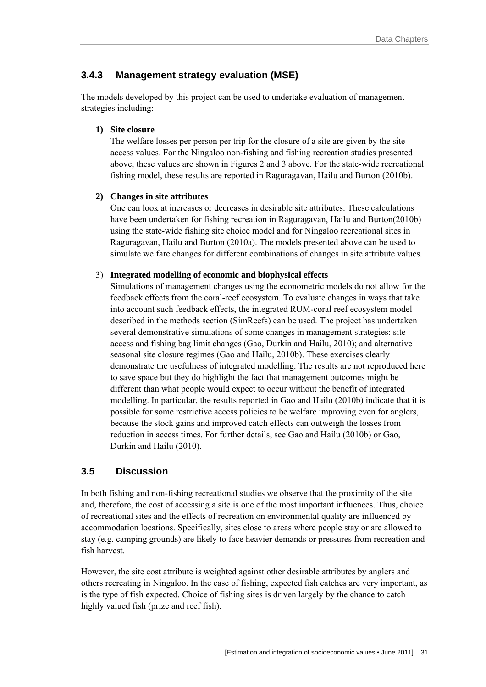### **3.4.3 Management strategy evaluation (MSE)**

The models developed by this project can be used to undertake evaluation of management strategies including:

#### **1) Site closure**

The welfare losses per person per trip for the closure of a site are given by the site access values. For the Ningaloo non-fishing and fishing recreation studies presented above, these values are shown in Figures 2 and 3 above. For the state-wide recreational fishing model, these results are reported in Raguragavan, Hailu and Burton (2010b).

#### **2) Changes in site attributes**

One can look at increases or decreases in desirable site attributes. These calculations have been undertaken for fishing recreation in Raguragavan, Hailu and Burton(2010b) using the state-wide fishing site choice model and for Ningaloo recreational sites in Raguragavan, Hailu and Burton (2010a). The models presented above can be used to simulate welfare changes for different combinations of changes in site attribute values.

#### 3) **Integrated modelling of economic and biophysical effects**

Simulations of management changes using the econometric models do not allow for the feedback effects from the coral-reef ecosystem. To evaluate changes in ways that take into account such feedback effects, the integrated RUM-coral reef ecosystem model described in the methods section (SimReefs) can be used. The project has undertaken several demonstrative simulations of some changes in management strategies: site access and fishing bag limit changes (Gao, Durkin and Hailu, 2010); and alternative seasonal site closure regimes (Gao and Hailu, 2010b). These exercises clearly demonstrate the usefulness of integrated modelling. The results are not reproduced here to save space but they do highlight the fact that management outcomes might be different than what people would expect to occur without the benefit of integrated modelling. In particular, the results reported in Gao and Hailu (2010b) indicate that it is possible for some restrictive access policies to be welfare improving even for anglers, because the stock gains and improved catch effects can outweigh the losses from reduction in access times. For further details, see Gao and Hailu (2010b) or Gao, Durkin and Hailu (2010).

### **3.5 Discussion**

In both fishing and non-fishing recreational studies we observe that the proximity of the site and, therefore, the cost of accessing a site is one of the most important influences. Thus, choice of recreational sites and the effects of recreation on environmental quality are influenced by accommodation locations. Specifically, sites close to areas where people stay or are allowed to stay (e.g. camping grounds) are likely to face heavier demands or pressures from recreation and fish harvest.

However, the site cost attribute is weighted against other desirable attributes by anglers and others recreating in Ningaloo. In the case of fishing, expected fish catches are very important, as is the type of fish expected. Choice of fishing sites is driven largely by the chance to catch highly valued fish (prize and reef fish).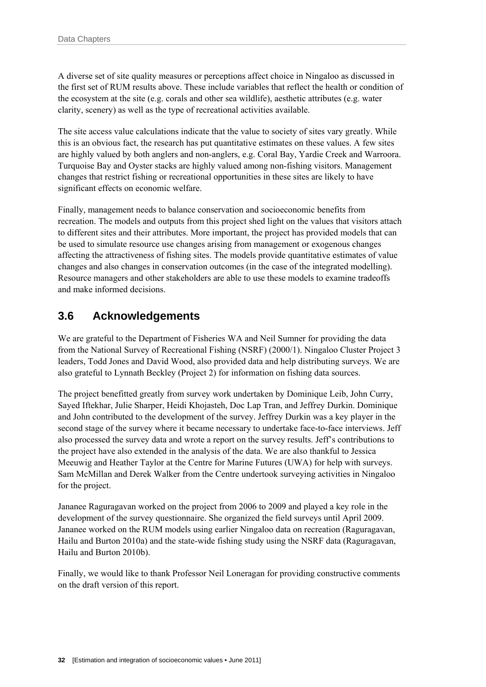A diverse set of site quality measures or perceptions affect choice in Ningaloo as discussed in the first set of RUM results above. These include variables that reflect the health or condition of the ecosystem at the site (e.g. corals and other sea wildlife), aesthetic attributes (e.g. water clarity, scenery) as well as the type of recreational activities available.

The site access value calculations indicate that the value to society of sites vary greatly. While this is an obvious fact, the research has put quantitative estimates on these values. A few sites are highly valued by both anglers and non-anglers, e.g. Coral Bay, Yardie Creek and Warroora. Turquoise Bay and Oyster stacks are highly valued among non-fishing visitors. Management changes that restrict fishing or recreational opportunities in these sites are likely to have significant effects on economic welfare.

Finally, management needs to balance conservation and socioeconomic benefits from recreation. The models and outputs from this project shed light on the values that visitors attach to different sites and their attributes. More important, the project has provided models that can be used to simulate resource use changes arising from management or exogenous changes affecting the attractiveness of fishing sites. The models provide quantitative estimates of value changes and also changes in conservation outcomes (in the case of the integrated modelling). Resource managers and other stakeholders are able to use these models to examine tradeoffs and make informed decisions.

### **3.6 Acknowledgements**

We are grateful to the Department of Fisheries WA and Neil Sumner for providing the data from the National Survey of Recreational Fishing (NSRF) (2000/1). Ningaloo Cluster Project 3 leaders, Todd Jones and David Wood, also provided data and help distributing surveys. We are also grateful to Lynnath Beckley (Project 2) for information on fishing data sources.

The project benefitted greatly from survey work undertaken by Dominique Leib, John Curry, Sayed Iftekhar, Julie Sharper, Heidi Khojasteh, Doc Lap Tran, and Jeffrey Durkin. Dominique and John contributed to the development of the survey. Jeffrey Durkin was a key player in the second stage of the survey where it became necessary to undertake face-to-face interviews. Jeff also processed the survey data and wrote a report on the survey results. Jeff's contributions to the project have also extended in the analysis of the data. We are also thankful to Jessica Meeuwig and Heather Taylor at the Centre for Marine Futures (UWA) for help with surveys. Sam McMillan and Derek Walker from the Centre undertook surveying activities in Ningaloo for the project.

Jananee Raguragavan worked on the project from 2006 to 2009 and played a key role in the development of the survey questionnaire. She organized the field surveys until April 2009. Jananee worked on the RUM models using earlier Ningaloo data on recreation (Raguragavan, Hailu and Burton 2010a) and the state-wide fishing study using the NSRF data (Raguragavan, Hailu and Burton 2010b).

Finally, we would like to thank Professor Neil Loneragan for providing constructive comments on the draft version of this report.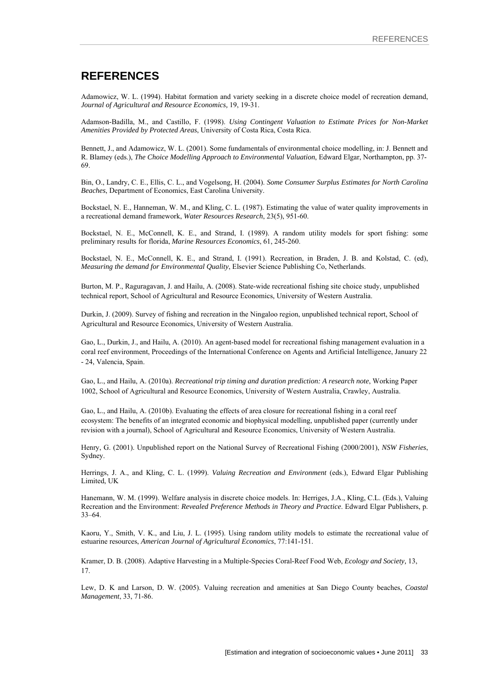#### **REFERENCES**

Adamowicz, W. L. (1994). Habitat formation and variety seeking in a discrete choice model of recreation demand, *Journal of Agricultural and Resource Economics,* 19, 19-31.

Adamson-Badilla, M., and Castillo, F. (1998). *Using Contingent Valuation to Estimate Prices for Non-Market Amenities Provided by Protected Areas*, University of Costa Rica, Costa Rica.

Bennett, J., and Adamowicz, W. L. (2001). Some fundamentals of environmental choice modelling, in: J. Bennett and R. Blamey (eds.), *The Choice Modelling Approach to Environmental Valuation*, Edward Elgar, Northampton, pp. 37- 69.

Bin, O., Landry, C. E., Ellis, C. L., and Vogelsong, H. (2004). *Some Consumer Surplus Estimates for North Carolina Beaches*, Department of Economics, East Carolina University.

Bockstael, N. E., Hanneman, W. M., and Kling, C. L. (1987). Estimating the value of water quality improvements in a recreational demand framework, *Water Resources Research*, 23(5), 951-60.

Bockstael, N. E., McConnell, K. E., and Strand, I. (1989). A random utility models for sport fishing: some preliminary results for florida, *Marine Resources Economics*, 61, 245-260.

Bockstael, N. E., McConnell, K. E., and Strand, I. (1991). Recreation, in Braden, J. B. and Kolstad, C. (ed), *Measuring the demand for Environmental Quality*, Elsevier Science Publishing Co, Netherlands.

Burton, M. P., Raguragavan, J. and Hailu, A. (2008). State-wide recreational fishing site choice study, unpublished technical report, School of Agricultural and Resource Economics, University of Western Australia.

Durkin, J. (2009). Survey of fishing and recreation in the Ningaloo region, unpublished technical report, School of Agricultural and Resource Economics, University of Western Australia.

Gao, L., Durkin, J., and Hailu, A. (2010). An agent-based model for recreational fishing management evaluation in a coral reef environment, Proceedings of the International Conference on Agents and Artificial Intelligence, January 22 - 24, Valencia, Spain.

Gao, L., and Hailu, A. (2010a). *Recreational trip timing and duration prediction: A research note*, Working Paper 1002, School of Agricultural and Resource Economics, University of Western Australia, Crawley, Australia.

Gao, L., and Hailu, A. (2010b). Evaluating the effects of area closure for recreational fishing in a coral reef ecosystem: The benefits of an integrated economic and biophysical modelling, unpublished paper (currently under revision with a journal), School of Agricultural and Resource Economics, University of Western Australia.

Henry, G. (2001). Unpublished report on the National Survey of Recreational Fishing (2000/2001), *NSW Fisheries*, Sydney.

Herrings, J. A., and Kling, C. L. (1999). *Valuing Recreation and Environment* (eds.), Edward Elgar Publishing Limited, UK

Hanemann, W. M. (1999). Welfare analysis in discrete choice models. In: Herriges, J.A., Kling, C.L. (Eds.), Valuing Recreation and the Environment: *Revealed Preference Methods in Theory and Practice*. Edward Elgar Publishers, p. 33–64.

Kaoru, Y., Smith, V. K., and Liu, J. L. (1995). Using random utility models to estimate the recreational value of estuarine resources, *American Journal of Agricultural Economics*, 77:141-151.

Kramer, D. B. (2008). Adaptive Harvesting in a Multiple-Species Coral-Reef Food Web, *Ecology and Society,* 13, 17.

Lew, D. K and Larson, D. W. (2005). Valuing recreation and amenities at San Diego County beaches, *Coastal Management*, 33, 71-86.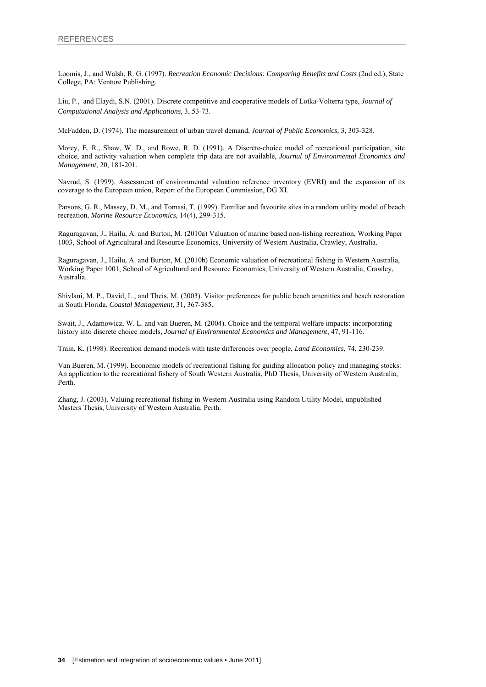Loomis, J., and Walsh, R. G. (1997). *Recreation Economic Decisions: Comparing Benefits and Costs* (2nd ed.), State College, PA: Venture Publishing.

Liu, P., and Elaydi, S.N. (2001). Discrete competitive and cooperative models of Lotka-Volterra type, *Journal of Computational Analysis and Applications,* 3, 53-73.

McFadden, D. (1974). The measurement of urban travel demand, *Journal of Public Economics,* 3, 303-328.

Morey, E. R., Shaw, W. D., and Rowe, R. D. (1991). A Discrete-choice model of recreational participation, site choice, and activity valuation when complete trip data are not available, *Journal of Environmental Economics and Management*, 20, 181-201.

Navrud, S. (1999). Assessment of environmental valuation reference inventory (EVRI) and the expansion of its coverage to the European union, Report of the European Commission, DG XI.

Parsons, G. R., Massey, D. M., and Tomasi, T. (1999). Familiar and favourite sites in a random utility model of beach recreation, *Marine Resource Economics*, 14(4), 299-315.

Raguragavan, J., Hailu, A. and Burton, M. (2010a) Valuation of marine based non-fishing recreation, Working Paper 1003, School of Agricultural and Resource Economics, University of Western Australia, Crawley, Australia.

Raguragavan, J., Hailu, A. and Burton, M. (2010b) Economic valuation of recreational fishing in Western Australia, Working Paper 1001, School of Agricultural and Resource Economics, University of Western Australia, Crawley, Australia.

Shivlani, M. P., David, L., and Theis, M. (2003). Visitor preferences for public beach amenities and beach restoration in South Florida. *Coastal Management,* 31, 367-385.

Swait, J., Adamowicz, W. L. and van Bueren, M. (2004). Choice and the temporal welfare impacts: incorporating history into discrete choice models, *Journal of Environmental Economics and Management*, 47, 91-116.

Train, K. (1998). Recreation demand models with taste differences over people, *Land Economics*, 74, 230-239.

Van Bueren, M. (1999). Economic models of recreational fishing for guiding allocation policy and managing stocks: An application to the recreational fishery of South Western Australia, PhD Thesis, University of Western Australia, Perth.

Zhang, J. (2003). Valuing recreational fishing in Western Australia using Random Utility Model, unpublished Masters Thesis, University of Western Australia, Perth.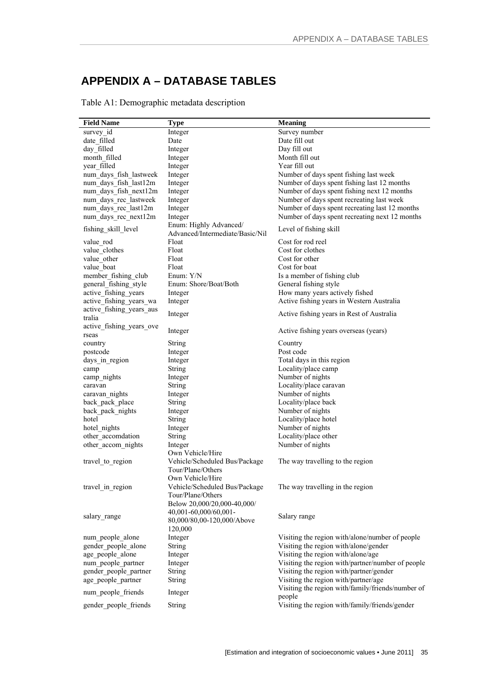# **APPENDIX A – DATABASE TABLES**

Table A1: Demographic metadata description

| <b>Field Name</b>                  | <b>Type</b>                                                                                   | <b>Meaning</b>                                    |
|------------------------------------|-----------------------------------------------------------------------------------------------|---------------------------------------------------|
| survey id                          | Integer                                                                                       | Survey number                                     |
| date filled                        | Date                                                                                          | Date fill out                                     |
| day filled                         | Integer                                                                                       | Day fill out                                      |
| month filled                       | Integer                                                                                       | Month fill out                                    |
| year filled                        | Integer                                                                                       | Year fill out                                     |
| num days fish lastweek             | Integer                                                                                       | Number of days spent fishing last week            |
| num days fish last12m              | Integer                                                                                       | Number of days spent fishing last 12 months       |
| num_days_fish_next12m              | Integer                                                                                       | Number of days spent fishing next 12 months       |
| num days rec lastweek              | Integer                                                                                       | Number of days spent recreating last week         |
| num days rec last12m               | Integer                                                                                       | Number of days spent recreating last 12 months    |
| num days rec next12m               |                                                                                               | Number of days spent recreating next 12 months    |
|                                    | Integer                                                                                       |                                                   |
| fishing skill level                | Enum: Highly Advanced/<br>Advanced/Intermediate/Basic/Nil                                     | Level of fishing skill                            |
| value rod                          | Float                                                                                         | Cost for rod reel                                 |
| value clothes                      | Float                                                                                         | Cost for clothes                                  |
| value other                        | Float                                                                                         | Cost for other                                    |
| value boat                         | Float                                                                                         | Cost for boat                                     |
| member fishing club                | Enum: Y/N                                                                                     | Is a member of fishing club                       |
| general fishing style              | Enum: Shore/Boat/Both                                                                         | General fishing style                             |
| active_fishing_years               | Integer                                                                                       | How many years actively fished                    |
| active_fishing_years_wa            | Integer                                                                                       | Active fishing years in Western Australia         |
| active fishing years aus<br>tralia | Integer                                                                                       | Active fishing years in Rest of Australia         |
| active fishing years ove<br>rseas  | Integer                                                                                       | Active fishing years overseas (years)             |
| country                            | <b>String</b>                                                                                 | Country                                           |
| postcode                           | Integer                                                                                       | Post code                                         |
| days_in_region                     | Integer                                                                                       | Total days in this region                         |
| camp                               | <b>String</b>                                                                                 | Locality/place camp                               |
| camp_nights                        | Integer                                                                                       | Number of nights                                  |
| caravan                            | <b>String</b>                                                                                 | Locality/place caravan                            |
| caravan nights                     | Integer                                                                                       | Number of nights                                  |
| back_pack_place                    | <b>String</b>                                                                                 | Locality/place back                               |
| back_pack_nights                   | Integer                                                                                       | Number of nights                                  |
| hotel                              | <b>String</b>                                                                                 | Locality/place hotel                              |
| hotel nights                       | Integer                                                                                       | Number of nights                                  |
| other accomdation                  | <b>String</b>                                                                                 | Locality/place other                              |
| other_accom_nights                 | Integer                                                                                       | Number of nights                                  |
|                                    | Own Vehicle/Hire                                                                              |                                                   |
| travel to region                   | Vehicle/Scheduled Bus/Package<br>Tour/Plane/Others                                            | The way travelling to the region                  |
| travel_in_region                   | Own Vehicle/Hire<br>Vehicle/Scheduled Bus/Package<br>Tour/Plane/Others                        | The way travelling in the region                  |
| salary range                       | Below 20,000/20,000-40,000/<br>40,001-60,000/60,001-<br>80,000/80,00-120,000/Above<br>120,000 | Salary range                                      |
| num_people_alone                   | Integer                                                                                       | Visiting the region with/alone/number of people   |
| gender people alone                | <b>String</b>                                                                                 | Visiting the region with/alone/gender             |
| age people alone                   | Integer                                                                                       | Visiting the region with/alone/age                |
| num people partner                 | Integer                                                                                       | Visiting the region with/partner/number of people |
| gender people partner              | String                                                                                        | Visiting the region with/partner/gender           |
| age people partner                 | String                                                                                        | Visiting the region with/partner/age              |
|                                    |                                                                                               | Visiting the region with/family/friends/number of |
| num people friends                 | Integer                                                                                       | people                                            |
| gender people friends              | <b>String</b>                                                                                 | Visiting the region with/family/friends/gender    |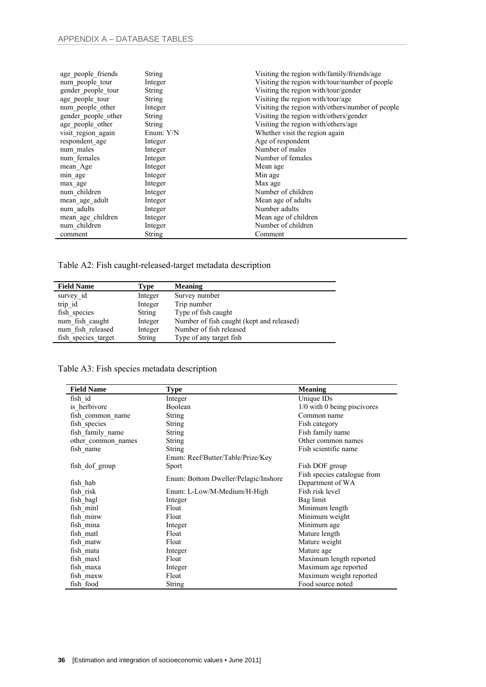| age_people_friends  | <b>String</b> | Visiting the region with/family/friends/age      |
|---------------------|---------------|--------------------------------------------------|
| num people tour     | Integer       | Visiting the region with/tour/number of people   |
| gender people tour  | String        | Visiting the region with/tour/gender             |
| age people tour     | <b>String</b> | Visiting the region with/tour/age                |
| num people other    | Integer       | Visiting the region with/others/number of people |
| gender people other | <b>String</b> | Visiting the region with/others/gender           |
| age_people_other    | <b>String</b> | Visiting the region with/others/age              |
| visit region again  | Enum: Y/N     | Whether visit the region again                   |
| respondent age      | Integer       | Age of respondent                                |
| num males           | Integer       | Number of males                                  |
| num females         | Integer       | Number of females                                |
| mean Age            | Integer       | Mean age                                         |
| min age             | Integer       | Min age                                          |
| max age             | Integer       | Max age                                          |
| num children        | Integer       | Number of children                               |
| mean age adult      | Integer       | Mean age of adults                               |
| num adults          | Integer       | Number adults                                    |
| mean_age_children   | Integer       | Mean age of children                             |
| num_children        | Integer       | Number of children                               |
| comment             | <b>String</b> | Comment                                          |

Table A2: Fish caught-released-target metadata description

| <b>Field Name</b>   | Type          | <b>Meaning</b>                            |
|---------------------|---------------|-------------------------------------------|
| survey id           | Integer       | Survey number                             |
| trip id             | Integer       | Trip number                               |
| fish species        | <b>String</b> | Type of fish caught                       |
| num fish caught     | Integer       | Number of fish caught (kept and released) |
| num fish released   | Integer       | Number of fish released                   |
| fish species target | <b>String</b> | Type of any target fish                   |

Table A3: Fish species metadata description

| <b>Field Name</b>  | <b>Type</b>                          | <b>Meaning</b>                |
|--------------------|--------------------------------------|-------------------------------|
| fish id            | Integer                              | Unique IDs                    |
| is herbivore       | Boolean                              | $1/0$ with 0 being piscivores |
| fish common name   | <b>String</b>                        | Common name                   |
| fish species       | <b>String</b>                        | Fish category                 |
| fish family_name   | <b>String</b>                        | Fish family name              |
| other common names | <b>String</b>                        | Other common names            |
| fish name          | <b>String</b>                        | Fish scientific name          |
|                    | Enum: Reef/Butter/Table/Prize/Key    |                               |
| fish dof group     | Sport                                | Fish DOF group                |
|                    | Enum: Bottom Dweller/Pelagic/Inshore | Fish species catalogue from   |
| fish hab           |                                      | Department of WA              |
| fish risk          | Enum: L-Low/M-Medium/H-High          | Fish risk level               |
| fish bagl          | Integer                              | Bag limit                     |
| fish minl          | Float                                | Minimum length                |
| fish minw          | Float                                | Minimum weight                |
| fish mina          | Integer                              | Minimum age                   |
| fish matl          | Float                                | Mature length                 |
| fish matw          | Float                                | Mature weight                 |
| fish mata          | Integer                              | Mature age                    |
| fish maxl          | Float                                | Maximum length reported       |
| fish maxa          | Integer                              | Maximum age reported          |
| fish maxw          | Float                                | Maximum weight reported       |
| fish food          | <b>String</b>                        | Food source noted             |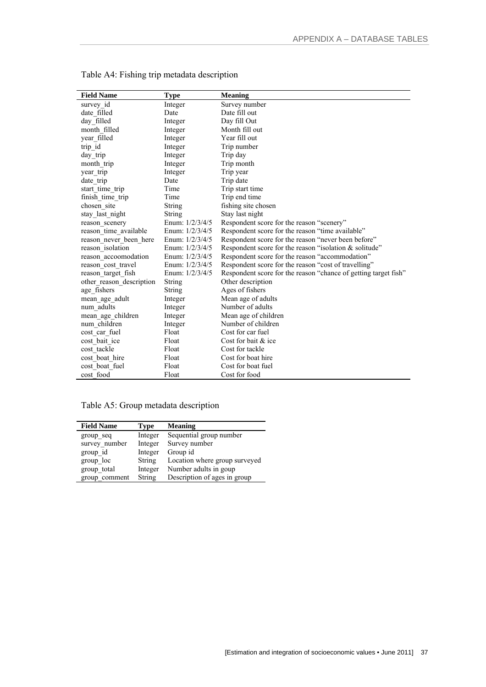| <b>Field Name</b>        | <b>Type</b>       | <b>Meaning</b>                                                  |
|--------------------------|-------------------|-----------------------------------------------------------------|
| survey id                | Integer           | Survey number                                                   |
| date filled              | Date              | Date fill out                                                   |
| day_filled               | Integer           | Day fill Out                                                    |
| month filled             | Integer           | Month fill out                                                  |
| year filled              | Integer           | Year fill out                                                   |
| trip_id                  | Integer           | Trip number                                                     |
| day trip                 | Integer           | Trip day                                                        |
| month trip               | Integer           | Trip month                                                      |
| year trip                | Integer           | Trip year                                                       |
| date_trip                | Date              | Trip date                                                       |
| start time trip          | Time              | Trip start time                                                 |
| finish time trip         | Time              | Trip end time                                                   |
| chosen site              | String            | fishing site chosen                                             |
| stay last night          | <b>String</b>     | Stay last night                                                 |
| reason scenery           | Enum: 1/2/3/4/5   | Respondent score for the reason "scenery"                       |
| reason time available    | Enum: $1/2/3/4/5$ | Respondent score for the reason "time available"                |
| reason never been here   | Enum: $1/2/3/4/5$ | Respondent score for the reason "never been before"             |
| reason_isolation         | Enum: $1/2/3/4/5$ | Respondent score for the reason "isolation $\&$ solitude"       |
| reason accoomodation     | Enum: $1/2/3/4/5$ | Respondent score for the reason "accommodation"                 |
| reason cost travel       | Enum: $1/2/3/4/5$ | Respondent score for the reason "cost of travelling"            |
| reason target fish       | Enum: $1/2/3/4/5$ | Respondent score for the reason "chance of getting target fish" |
| other reason description | String            | Other description                                               |
| age fishers              | <b>String</b>     | Ages of fishers                                                 |
| mean age adult           | Integer           | Mean age of adults                                              |
| num adults               | Integer           | Number of adults                                                |
| mean_age_children        | Integer           | Mean age of children                                            |
| num children             | Integer           | Number of children                                              |
| cost car fuel            | Float             | Cost for car fuel                                               |
| cost bait ice            | Float             | Cost for bait & ice                                             |
| cost tackle              | Float             | Cost for tackle                                                 |
| cost boat hire           | Float             | Cost for boat hire                                              |
| cost boat fuel           | Float             | Cost for boat fuel                                              |
| cost food                | Float             | Cost for food                                                   |

Table A4: Fishing trip metadata description

Table A5: Group metadata description

| <b>Field Name</b> | <b>Type</b>   | <b>Meaning</b>                |
|-------------------|---------------|-------------------------------|
| group seq         | Integer       | Sequential group number       |
| survey number     | Integer       | Survey number                 |
| group id          | Integer       | Group id                      |
| group loc         | <b>String</b> | Location where group surveyed |
| group total       | Integer       | Number adults in goup         |
| group comment     | <b>String</b> | Description of ages in group  |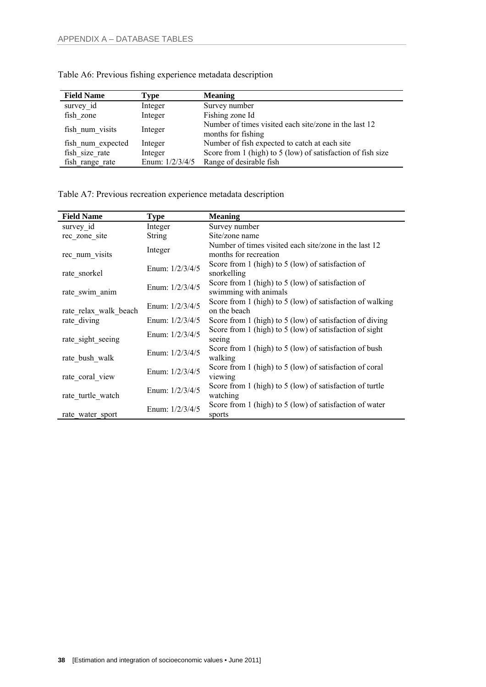| <b>Field Name</b> | Type              | <b>Meaning</b>                                                              |
|-------------------|-------------------|-----------------------------------------------------------------------------|
| survey id         | Integer           | Survey number                                                               |
| fish zone         | Integer           | Fishing zone Id                                                             |
| fish num visits   | Integer           | Number of times visited each site/zone in the last 12<br>months for fishing |
| fish num expected | Integer           | Number of fish expected to catch at each site                               |
| fish size rate    | Integer           | Score from 1 (high) to 5 (low) of satisfaction of fish size                 |
| fish range rate   | Enum: $1/2/3/4/5$ | Range of desirable fish                                                     |

Table A6: Previous fishing experience metadata description

Table A7: Previous recreation experience metadata description

| <b>Field Name</b>     | Type              | <b>Meaning</b>                                                                 |
|-----------------------|-------------------|--------------------------------------------------------------------------------|
| survey id             | Integer           | Survey number                                                                  |
| rec zone site         | <b>String</b>     | Site/zone name                                                                 |
| rec_num_visits        | Integer           | Number of times visited each site/zone in the last 12<br>months for recreation |
| rate_snorkel          | Enum: $1/2/3/4/5$ | Score from 1 (high) to 5 (low) of satisfaction of<br>snorkelling               |
| rate swim anim        | Enum: $1/2/3/4/5$ | Score from 1 (high) to 5 (low) of satisfaction of<br>swimming with animals     |
| rate relax walk beach | Enum: $1/2/3/4/5$ | Score from 1 (high) to 5 (low) of satisfaction of walking<br>on the beach      |
| rate diving           | Enum: $1/2/3/4/5$ | Score from 1 (high) to 5 (low) of satisfaction of diving                       |
| rate sight seeing     | Enum: $1/2/3/4/5$ | Score from 1 (high) to 5 (low) of satisfaction of sight<br>seeing              |
| rate bush walk        | Enum: $1/2/3/4/5$ | Score from 1 (high) to 5 (low) of satisfaction of bush<br>walking              |
| rate coral view       | Enum: $1/2/3/4/5$ | Score from 1 (high) to 5 (low) of satisfaction of coral<br>viewing             |
| rate turtle watch     | Enum: 1/2/3/4/5   | Score from 1 (high) to 5 (low) of satisfaction of turtle<br>watching           |
| rate water sport      | Enum: $1/2/3/4/5$ | Score from 1 (high) to 5 (low) of satisfaction of water<br>sports              |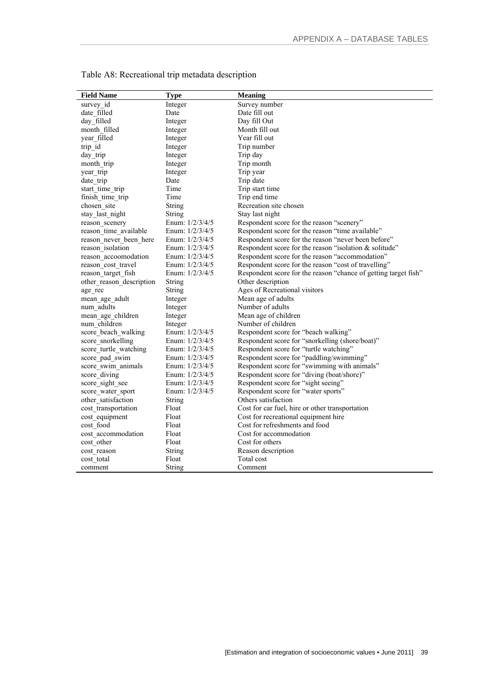| Respondent score for the reason "chance of getting target fish" |
|-----------------------------------------------------------------|
|                                                                 |
|                                                                 |
|                                                                 |
|                                                                 |
|                                                                 |
|                                                                 |
|                                                                 |
|                                                                 |
|                                                                 |
|                                                                 |
|                                                                 |
|                                                                 |
|                                                                 |
|                                                                 |
|                                                                 |
|                                                                 |
|                                                                 |
|                                                                 |
|                                                                 |
|                                                                 |
|                                                                 |
|                                                                 |
|                                                                 |
|                                                                 |

Table A8: Recreational trip metadata description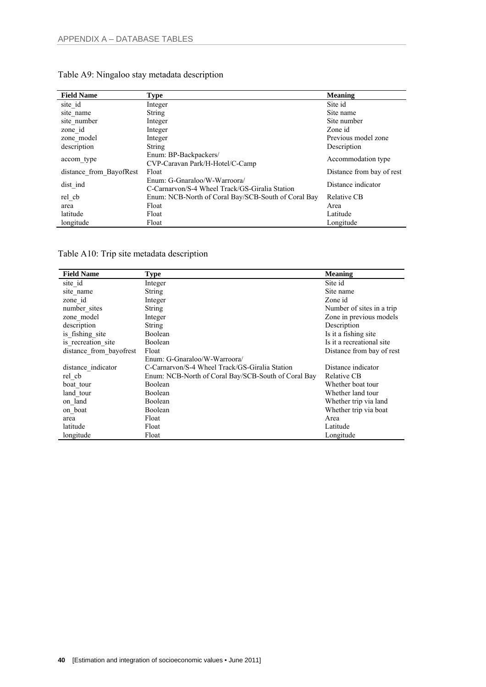| <b>Field Name</b>       | Type                                                                           | <b>Meaning</b>            |
|-------------------------|--------------------------------------------------------------------------------|---------------------------|
| site id                 | Integer                                                                        | Site id                   |
| site name               | <b>String</b>                                                                  | Site name                 |
| site number             | Integer                                                                        | Site number               |
| zone id                 | Integer                                                                        | Zone id                   |
| zone model              | Integer                                                                        | Previous model zone       |
| description             | <b>String</b>                                                                  | Description               |
| accom type              | Enum: BP-Backpackers/<br>CVP-Caravan Park/H-Hotel/C-Camp                       | Accommodation type        |
| distance from BayofRest | Float                                                                          | Distance from bay of rest |
| dist ind                | Enum: G-Gnaraloo/W-Warroora/<br>C-Carnarvon/S-4 Wheel Track/GS-Giralia Station | Distance indicator        |
| rel cb                  | Enum: NCB-North of Coral Bay/SCB-South of Coral Bay                            | Relative CB               |
| area                    | Float                                                                          | Area                      |
| latitude                | Float                                                                          | Latitude                  |
| longitude               | Float                                                                          | Longitude                 |

### Table A9: Ningaloo stay metadata description

Table A10: Trip site metadata description

| <b>Field Name</b>       | <b>Type</b>                                         | <b>Meaning</b>            |
|-------------------------|-----------------------------------------------------|---------------------------|
| site id                 | Integer                                             | Site id                   |
| site name               | <b>String</b>                                       | Site name                 |
| zone id                 | Integer                                             | Zone id                   |
| number sites            | <b>String</b>                                       | Number of sites in a trip |
| zone model              | Integer                                             | Zone in previous models   |
| description             | <b>String</b>                                       | Description               |
| is fishing site         | Boolean                                             | Is it a fishing site      |
| is recreation site      | Boolean                                             | Is it a recreational site |
| distance from bayofrest | Float                                               | Distance from bay of rest |
|                         | Enum: G-Gnaraloo/W-Warroora/                        |                           |
| distance indicator      | C-Carnarvon/S-4 Wheel Track/GS-Giralia Station      | Distance indicator        |
| rel cb                  | Enum: NCB-North of Coral Bay/SCB-South of Coral Bay | Relative CB               |
| boat tour               | <b>Boolean</b>                                      | Whether boat tour         |
| land tour               | Boolean                                             | Whether land tour         |
| on land                 | Boolean                                             | Whether trip via land     |
| on boat                 | Boolean                                             | Whether trip via boat     |
| area                    | Float                                               | Area                      |
| latitude                | Float                                               | Latitude                  |
| longitude               | Float                                               | Longitude                 |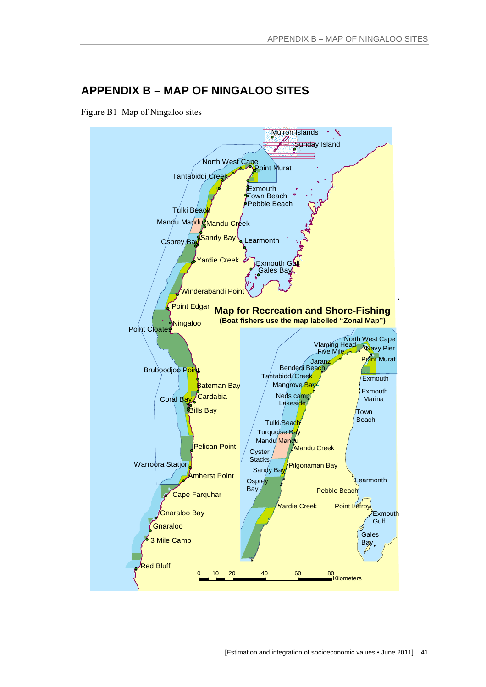### **APPENDIX B – MAP OF NINGALOO SITES**

Figure B1 Map of Ningaloo sites

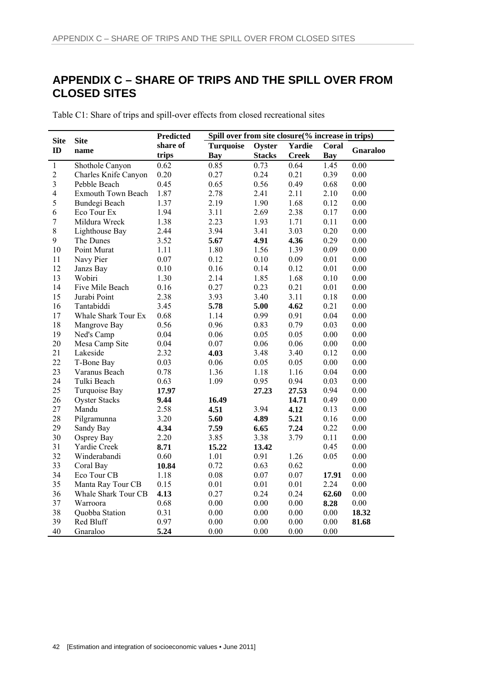# **APPENDIX C – SHARE OF TRIPS AND THE SPILL OVER FROM CLOSED SITES**

Table C1: Share of trips and spill-over effects from closed recreational sites

|                         |                           | <b>Predicted</b><br>Spill over from site closure(% increase in trips) |            |                         |                   |            |          |
|-------------------------|---------------------------|-----------------------------------------------------------------------|------------|-------------------------|-------------------|------------|----------|
| <b>Site</b><br>ID       | <b>Site</b>               | share of<br><b>Turquoise</b>                                          |            | Oyster<br><b>Yardie</b> |                   | Coral      |          |
|                         | name                      | trips                                                                 | <b>Bay</b> | <b>Stacks</b>           | <b>Creek</b>      | <b>Bay</b> | Gnaraloo |
| $\,1$                   | Shothole Canyon           | 0.62                                                                  | 0.85       | 0.73                    | $\overline{0.64}$ | 1.45       | 0.00     |
| $\overline{c}$          | Charles Knife Canyon      | 0.20                                                                  | 0.27       | 0.24                    | 0.21              | 0.39       | 0.00     |
| $\overline{\mathbf{3}}$ | Pebble Beach              | 0.45                                                                  | 0.65       | 0.56                    | 0.49              | $0.68\,$   | 0.00     |
| $\overline{\mathbf{4}}$ | <b>Exmouth Town Beach</b> | 1.87                                                                  | 2.78       | 2.41                    | 2.11              | 2.10       | 0.00     |
| 5                       | Bundegi Beach             | 1.37                                                                  | 2.19       | 1.90                    | 1.68              | 0.12       | 0.00     |
| 6                       | Eco Tour Ex               | 1.94                                                                  | 3.11       | 2.69                    | 2.38              | 0.17       | 0.00     |
| $\boldsymbol{7}$        | Mildura Wreck             | 1.38                                                                  | 2.23       | 1.93                    | 1.71              | 0.11       | 0.00     |
| 8                       | Lighthouse Bay            | 2.44                                                                  | 3.94       | 3.41                    | 3.03              | 0.20       | 0.00     |
| 9                       | The Dunes                 | 3.52                                                                  | 5.67       | 4.91                    | 4.36              | 0.29       | $0.00\,$ |
| 10                      | Point Murat               | 1.11                                                                  | 1.80       | 1.56                    | 1.39              | 0.09       | 0.00     |
| 11                      | Navy Pier                 | 0.07                                                                  | 0.12       | 0.10                    | 0.09              | 0.01       | 0.00     |
| 12                      | Janzs Bay                 | 0.10                                                                  | 0.16       | 0.14                    | 0.12              | 0.01       | $0.00\,$ |
| 13                      | Wobiri                    | 1.30                                                                  | 2.14       | 1.85                    | 1.68              | 0.10       | 0.00     |
| 14                      | Five Mile Beach           | 0.16                                                                  | 0.27       | 0.23                    | 0.21              | 0.01       | 0.00     |
| 15                      | Jurabi Point              | 2.38                                                                  | 3.93       | 3.40                    | 3.11              | 0.18       | 0.00     |
| 16                      | Tantabiddi                | 3.45                                                                  | 5.78       | 5.00                    | 4.62              | 0.21       | 0.00     |
| 17                      | Whale Shark Tour Ex       | 0.68                                                                  | 1.14       | 0.99                    | 0.91              | 0.04       | 0.00     |
| 18                      | Mangrove Bay              | 0.56                                                                  | 0.96       | 0.83                    | 0.79              | 0.03       | 0.00     |
| 19                      | Ned's Camp                | 0.04                                                                  | 0.06       | 0.05                    | 0.05              | 0.00       | 0.00     |
| 20                      | Mesa Camp Site            | 0.04                                                                  | 0.07       | 0.06                    | 0.06              | 0.00       | 0.00     |
| 21                      | Lakeside                  | 2.32                                                                  | 4.03       | 3.48                    | 3.40              | 0.12       | $0.00\,$ |
| 22                      | T-Bone Bay                | 0.03                                                                  | 0.06       | 0.05                    | 0.05              | 0.00       | 0.00     |
| 23                      | Varanus Beach             | 0.78                                                                  | 1.36       | 1.18                    | 1.16              | 0.04       | 0.00     |
| 24                      | Tulki Beach               | 0.63                                                                  | 1.09       | 0.95                    | 0.94              | 0.03       | 0.00     |
| 25                      | Turquoise Bay             | 17.97                                                                 |            | 27.23                   | 27.53             | 0.94       | $0.00\,$ |
| 26                      | <b>Oyster Stacks</b>      | 9.44                                                                  | 16.49      |                         | 14.71             | 0.49       | 0.00     |
| 27                      | Mandu                     | 2.58                                                                  | 4.51       | 3.94                    | 4.12              | 0.13       | 0.00     |
| 28                      | Pilgramunna               | 3.20                                                                  | 5.60       | 4.89                    | 5.21              | 0.16       | 0.00     |
| 29                      | Sandy Bay                 | 4.34                                                                  | 7.59       | 6.65                    | 7.24              | 0.22       | 0.00     |
| 30                      | Osprey Bay                | 2.20                                                                  | 3.85       | 3.38                    | 3.79              | 0.11       | $0.00\,$ |
| 31                      | Yardie Creek              | 8.71                                                                  | 15.22      | 13.42                   |                   | 0.45       | 0.00     |
| 32                      | Winderabandi              | 0.60                                                                  | 1.01       | 0.91                    | 1.26              | 0.05       | 0.00     |
| 33                      | Coral Bay                 | 10.84                                                                 | 0.72       | 0.63                    | 0.62              |            | 0.00     |
| 34                      | Eco Tour CB               | 1.18                                                                  | 0.08       | 0.07                    | 0.07              | 17.91      | 0.00     |
| 35                      | Manta Ray Tour CB         | 0.15                                                                  | 0.01       | 0.01                    | 0.01              | 2.24       | 0.00     |
| 36                      | Whale Shark Tour CB       | 4.13                                                                  | 0.27       | 0.24                    | 0.24              | 62.60      | $0.00\,$ |
| 37                      | Warroora                  | 0.68                                                                  | $0.00\,$   | 0.00                    | $0.00\,$          | 8.28       | $0.00\,$ |
| 38                      | Quobba Station            | 0.31                                                                  | $0.00\,$   | $0.00\,$                | $0.00\,$          | $0.00\,$   | 18.32    |
| 39                      | Red Bluff                 | 0.97                                                                  | 0.00       | 0.00                    | 0.00              | $0.00\,$   | 81.68    |
| 40                      | Gnaraloo                  | 5.24                                                                  | 0.00       | 0.00                    | 0.00              | $0.00\,$   |          |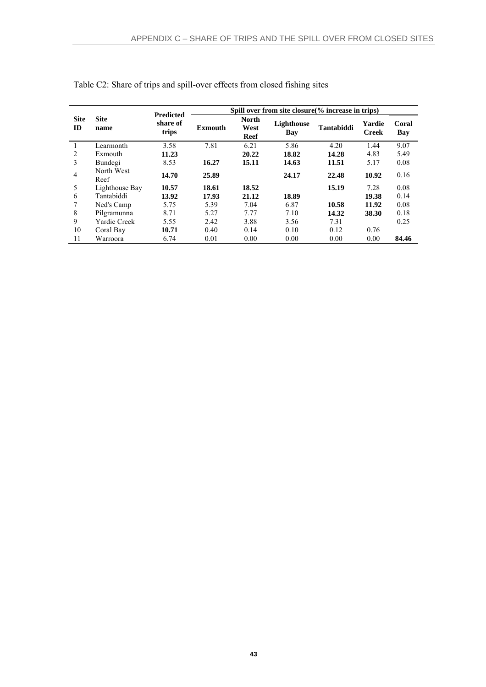|                   |                     | <b>Predicted</b>  | Spill over from site closure (% increase in trips) |                                     |                   |                   |                        |              |  |  |
|-------------------|---------------------|-------------------|----------------------------------------------------|-------------------------------------|-------------------|-------------------|------------------------|--------------|--|--|
| <b>Site</b><br>ID | <b>Site</b><br>name | share of<br>trips | Exmouth                                            | <b>North</b><br>West<br><b>Reef</b> | Lighthouse<br>Bay | <b>Tantabiddi</b> | Yardie<br><b>Creek</b> | Coral<br>Bay |  |  |
|                   | Learmonth           | 3.58              | 7.81                                               | 6.21                                | 5.86              | 4.20              | 1.44                   | 9.07         |  |  |
| 2                 | Exmouth             | 11.23             |                                                    | 20.22                               | 18.82             | 14.28             | 4.83                   | 5.49         |  |  |
| 3                 | Bundegi             | 8.53              | 16.27                                              | 15.11                               | 14.63             | 11.51             | 5.17                   | 0.08         |  |  |
| $\overline{4}$    | North West<br>Reef  | 14.70             | 25.89                                              |                                     | 24.17             | 22.48             | 10.92                  | 0.16         |  |  |
| 5                 | Lighthouse Bay      | 10.57             | 18.61                                              | 18.52                               |                   | 15.19             | 7.28                   | 0.08         |  |  |
| 6                 | Tantabiddi          | 13.92             | 17.93                                              | 21.12                               | 18.89             |                   | 19.38                  | 0.14         |  |  |
| 7                 | Ned's Camp          | 5.75              | 5.39                                               | 7.04                                | 6.87              | 10.58             | 11.92                  | 0.08         |  |  |
| 8                 | Pilgramunna         | 8.71              | 5.27                                               | 7.77                                | 7.10              | 14.32             | 38.30                  | 0.18         |  |  |
| 9                 | <b>Yardie Creek</b> | 5.55              | 2.42                                               | 3.88                                | 3.56              | 7.31              |                        | 0.25         |  |  |
| 10                | Coral Bay           | 10.71             | 0.40                                               | 0.14                                | 0.10              | 0.12              | 0.76                   |              |  |  |
| 11                | Warroora            | 6.74              | 0.01                                               | 0.00                                | 0.00              | 0.00              | 0.00                   | 84.46        |  |  |

Table C2: Share of trips and spill-over effects from closed fishing sites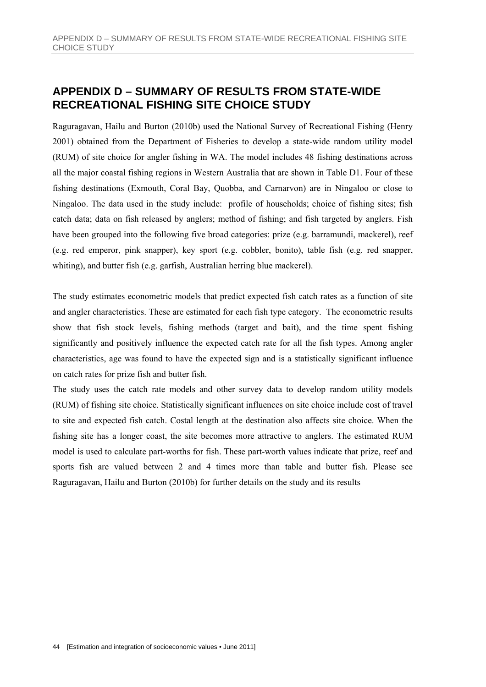### **APPENDIX D – SUMMARY OF RESULTS FROM STATE-WIDE RECREATIONAL FISHING SITE CHOICE STUDY**

Raguragavan, Hailu and Burton (2010b) used the National Survey of Recreational Fishing (Henry 2001) obtained from the Department of Fisheries to develop a state-wide random utility model (RUM) of site choice for angler fishing in WA. The model includes 48 fishing destinations across all the major coastal fishing regions in Western Australia that are shown in Table D1. Four of these fishing destinations (Exmouth, Coral Bay, Quobba, and Carnarvon) are in Ningaloo or close to Ningaloo. The data used in the study include: profile of households; choice of fishing sites; fish catch data; data on fish released by anglers; method of fishing; and fish targeted by anglers. Fish have been grouped into the following five broad categories: prize (e.g. barramundi, mackerel), reef (e.g. red emperor, pink snapper), key sport (e.g. cobbler, bonito), table fish (e.g. red snapper, whiting), and butter fish (e.g. garfish, Australian herring blue mackerel).

The study estimates econometric models that predict expected fish catch rates as a function of site and angler characteristics. These are estimated for each fish type category. The econometric results show that fish stock levels, fishing methods (target and bait), and the time spent fishing significantly and positively influence the expected catch rate for all the fish types. Among angler characteristics, age was found to have the expected sign and is a statistically significant influence on catch rates for prize fish and butter fish.

The study uses the catch rate models and other survey data to develop random utility models (RUM) of fishing site choice. Statistically significant influences on site choice include cost of travel to site and expected fish catch. Costal length at the destination also affects site choice. When the fishing site has a longer coast, the site becomes more attractive to anglers. The estimated RUM model is used to calculate part-worths for fish. These part-worth values indicate that prize, reef and sports fish are valued between 2 and 4 times more than table and butter fish. Please see Raguragavan, Hailu and Burton (2010b) for further details on the study and its results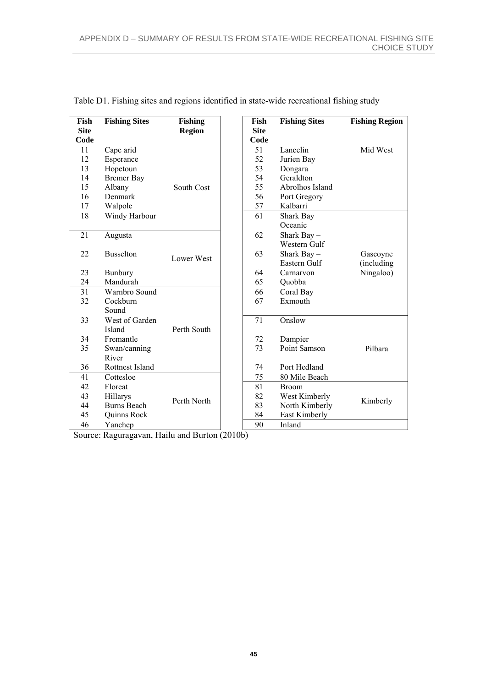| Fish<br><b>Site</b><br>Code | <b>Fishing Sites</b> | <b>Fishing</b><br><b>Region</b> | Fish<br><b>Site</b><br>Code | <b>Fishing Sites</b> | <b>Fishing Region</b> |
|-----------------------------|----------------------|---------------------------------|-----------------------------|----------------------|-----------------------|
| 11                          | Cape arid            |                                 | 51                          | Lancelin             | Mid West              |
| 12                          | Esperance            |                                 | 52                          | Jurien Bay           |                       |
| 13                          | Hopetoun             |                                 | 53                          | Dongara              |                       |
| 14                          | <b>Bremer Bay</b>    |                                 | 54                          | Geraldton            |                       |
| 15                          | Albany               | South Cost                      | 55                          | Abrolhos Island      |                       |
| 16                          | Denmark              |                                 | 56                          | Port Gregory         |                       |
| 17                          | Walpole              |                                 | 57                          | Kalbarri             |                       |
| 18                          | Windy Harbour        |                                 | 61                          | Shark Bay            |                       |
|                             |                      |                                 |                             | Oceanic              |                       |
| 21                          | Augusta              |                                 | 62                          | Shark Bay -          |                       |
|                             |                      |                                 |                             | Western Gulf         |                       |
| 22                          | <b>Busselton</b>     | Lower West                      | 63                          | Shark Bay $-$        | Gascoyne              |
|                             |                      |                                 |                             | Eastern Gulf         | (including            |
| 23                          | Bunbury              |                                 | 64                          | Carnarvon            | Ningaloo)             |
| 24                          | Mandurah             |                                 | 65                          | Quobba               |                       |
| 31                          | Warnbro Sound        |                                 | 66                          | Coral Bay            |                       |
| 32                          | Cockburn             |                                 | 67                          | Exmouth              |                       |
|                             | Sound                |                                 |                             |                      |                       |
| 33                          | West of Garden       |                                 | 71                          | Onslow               |                       |
|                             | Island               | Perth South                     |                             |                      |                       |
| 34                          | Fremantle            |                                 | 72                          | Dampier              |                       |
| 35                          | Swan/canning         |                                 | 73                          | Point Samson         | Pilbara               |
|                             | River                |                                 |                             |                      |                       |
| 36                          | Rottnest Island      |                                 | 74                          | Port Hedland         |                       |
| 41                          | Cottesloe            |                                 | 75                          | 80 Mile Beach        |                       |
| 42                          | Floreat              |                                 | 81                          | <b>Broom</b>         |                       |
| 43                          | Hillarys             |                                 | 82                          | West Kimberly        |                       |
| 44                          | <b>Burns Beach</b>   | Perth North                     | 83                          | North Kimberly       | Kimberly              |
| 45                          | Quinns Rock          |                                 | 84                          | East Kimberly        |                       |
| 46                          | Yanchep              |                                 | 90                          | Inland               |                       |

Table D1. Fishing sites and regions identified in state-wide recreational fishing study

Source: Raguragavan, Hailu and Burton (2010b)